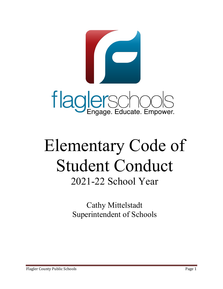

# Elementary Code of Student Conduct 2021-22 School Year

Cathy Mittelstadt Superintendent of Schools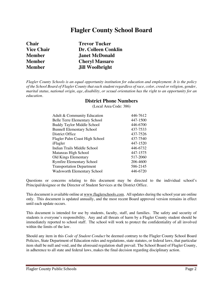# **Flagler County School Board**

| <b>Chair</b>      | <b>Trevor Tucker</b>       |
|-------------------|----------------------------|
| <b>Vice Chair</b> | <b>Dr. Colleen Conklin</b> |
| <b>Member</b>     | <b>Janet McDonald</b>      |
| <b>Member</b>     | <b>Cheryl Massaro</b>      |
| <b>Member</b>     | <b>Jill Woolbright</b>     |
|                   |                            |

*Flagler County Schools is an equal opportunity institution for education and employment. It is the policy of the School Board of Flagler County that each student regardless of race, color, creed or religion, gender, marital status, national origin, age*, *disability, or sexual orientation has the right to an opportunity for an education.*

#### **District Phone Numbers**

(Local Area Code: 386)

| Adult & Community Education          | 446-7612 |
|--------------------------------------|----------|
| <b>Belle Terre Elementary School</b> | 447-1500 |
| <b>Buddy Taylor Middle School</b>    | 446-6700 |
| <b>Bunnell Elementary School</b>     | 437-7533 |
| District Office                      | 437-7526 |
| Flagler Palm Coast High School       | 437-7540 |
| iFlagler                             | 447-1520 |
| Indian Trails Middle School          | 446-6732 |
| Matanzas High School                 | 447-1575 |
| <b>Old Kings Elementary</b>          | 517-2060 |
| <b>Rymfire Elementary School</b>     | 206-4600 |
| <b>Transportation Department</b>     | 586-2145 |
| <b>Wadsworth Elementary School</b>   | 446-6720 |
|                                      |          |

Questions or concerns relating to this document may be directed to the individual school's Principal/designee or the Director of Student Services at the District Office.

This document is available online at www.flaglerschools.com. All updates during the school year are online only. This document is updated annually, and the most recent Board approved version remains in effect until each update occurs.

This document is intended for use by students, faculty, staff, and families. The safety and security of students is everyone's responsibility. Any and all threats of harm by a Flagler County student should be immediately reported to school staff. The school will work to protect the confidentiality of all involved within the limits of the law.

Should any item in this *Code of Student Conduct* be deemed contrary to the Flagler County School Board Policies, State Department of Education rules and regulations, state statutes, or federal laws, that particular item shall be null and void, and the aforesaid regulation shall prevail. The School Board of Flagler County, in adherence to all state and federal laws, makes the final decision regarding disciplinary action.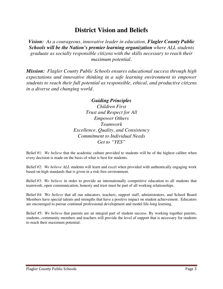# **District Vision and Beliefs**

*Vision: As a courageous, innovative leader in education, Flagler County Public Schools will be the Nation's premier learning organization where ALL students graduate as socially responsible citizens with the skills necessary to reach their maximum potential.*

*Mission: Flagler County Public Schools ensures educational success through high expectations and innovative thinking in a safe learning environment to empower students to reach their full potential as responsible, ethical, and productive citizens in a diverse and changing world.*

# *Guiding Principles*

*Children First Trust and Respect for All Empower Others Teamwork Excellence, Quality, and Consistency Commitment to Individual Needs Get to "YES"*

Belief #1: *We believe* that the academic culture provided to students will be of the highest caliber when every decision is made on the basis of what is best for students.

Belief #2: *We believe ALL* students will learn and excel when provided with authentically engaging work based on high standards that is given in a risk-free environment.

Belief #3: *We believe* in order to provide an internationally competitive education to all students that teamwork, open communication, honesty and trust must be part of all working relationships.

Belief #4: W*e believe* that all our educators, teachers, support staff, administrators, and School Board Members have special talents and strengths that have a positive impact on student achievement. Educators are encouraged to pursue continual professional development and model life-long learning.

Belief #5: *We believe* that parents are an integral part of student success. By working together parents, students, community members and teachers will provide the level of support that is necessary for students to reach their maximum potential.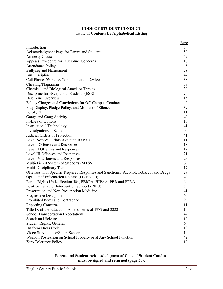#### **CODE OF STUDENT CONDUCT Table of Contents by Alphabetical Listing**

| 5 <sup>1</sup><br>Introduction                                                             |
|--------------------------------------------------------------------------------------------|
| 50<br>Acknowledgment Page for Parent and Student                                           |
| 42<br><b>Amnesty Clause</b>                                                                |
| Appeals Procedure for Discipline Concerns<br>16                                            |
| <b>Attendance Policy</b><br>46                                                             |
| <b>Bullying and Harassment</b><br>28                                                       |
| <b>Bus Discipline</b><br>44                                                                |
| 38<br><b>Cell Phones/Wireless Communication Devices</b>                                    |
| Cheating/Plagiarism<br>38                                                                  |
| 39<br>Chemical and Biological Attack or Threats                                            |
| Discipline for Exceptional Students (ESE)<br>$\tau$                                        |
| Discipline Overview<br>15                                                                  |
| Felony Charges and Convictions for Off-Campus Conduct<br>40                                |
| Flag Display, Pledge Policy, and Moment of Silence<br>39                                   |
| FortifyFL<br>11                                                                            |
| Gangs and Gang Activity<br>40                                                              |
| In-Lieu of Options<br>16                                                                   |
| <b>Instructional Technology</b><br>41                                                      |
| <b>Investigations at School</b><br>9                                                       |
| Judicial Orders of Protection<br>41                                                        |
| 11<br>Legal Notices - Florida Statute 1006.07                                              |
| Level I Offenses and Responses<br>18                                                       |
| Level II Offenses and Responses<br>19                                                      |
| Level III Offenses and Responses<br>21                                                     |
| 23<br>Level IV Offenses and Responses                                                      |
| Multi-Tiered System of Supports (MTSS)<br>6                                                |
| Multi-Disciplinary Team<br>17                                                              |
| Offenses with Specific Required Responses and Sanctions: Alcohol, Tobacco, and Drugs<br>27 |
| Opt-Out of Information Release (PL 107-10)<br>49                                           |
| Parent Rights Under Section 504, FERPA, HIPAA, PBR and PPRA<br>6                           |
| 5<br>Positive Behavior Intervention Support (PBIS)                                         |
| 41<br>Prescription and Non-Prescription Medicine                                           |
| Progressive Discipline<br>6                                                                |
| Prohibited Items and Contraband<br>9                                                       |
| 11<br><b>Reporting Concerns</b>                                                            |
| Title IX of the Education Amendments of 1972 and 2020<br>10                                |
| <b>School Transportation Expectations</b><br>42                                            |
| Search and Seizure<br>10                                                                   |
| <b>Student Rights: General</b><br>6                                                        |
| <b>Uniform Dress Code</b><br>13                                                            |
| Video Surveillance/Smart Sensors<br>10                                                     |
| Weapon Possession on School Property or at Any School Function<br>42                       |
| Zero Tolerance Policy<br>10                                                                |

#### **Parent and Student Acknowledgment of Code of Student Conduct must be signed and returned (page 50).**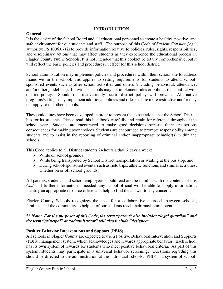#### **INTRODUCTION**

#### **General**

It is the desire of the School Board and all educational personnel to create a healthy, positive, and safe environment for our students and staff. The purpose of this *Code of Student Conduct* (legal authority: FS 1006.07) is to provide information relative to policies, rules, rights, responsibilities, and disciplinary actions that may affect students as they experience the educational process in Flagler County Public Schools. It is not intended that this booklet be totally comprehensive, but it will reflect the basic policies and procedures in effect for this school district.

School administration may implement policies and procedures within their school site to address issues within the school; this applies to setting requirements for students to attend schoolsponsored events such as after school activities and others (including behavioral, attendance, and/or other guidelines). Individual schools may not implement rules or policies that conflict with district policy. Should this inadvertently occur, district policy will prevail. Alternative programs/settings may implement additional policies and rules that are more restrictive and/or may not apply to the other schools.

These guidelines have been developed in order to present the expectations that the School District has for its students. Please read this handbook carefully and retain for reference throughout the school year. Students are encouraged to make good decisions because there are serious consequences for making poor choices. Students are encouraged to promote responsibility among students and to assist in the reporting of criminal and/or inappropriate behavior(s) within the schools.

This Code applies to all District students 24 hours a day, 7 days a week:

- $\triangleright$  While on school grounds,
- $\triangleright$  While being transported by School District transportation or waiting at the bus stop, and
- $\triangleright$  During school-sponsored events, such as field trips, athletic functions and similar activities, whether on or off school grounds.

All parents, students, and school employees should read and be familiar with the contents of this *Code*. If further information is needed, any school official will be able to supply information, identify an appropriate resource office, and help to find the answer to any concern.

Flagler County Schools recognizes the need for a collaborative approach between schools, families, and the community to help all of our students reach their maximum potential.

#### *\*\* Note: For the purposes of this Code, the term "parent" also includes "legal guardian" and the term "principal" or "administrator" will also include "designee".*

#### **Positive Behavior Interventions and Support (PBIS)**

All schools in Flagler County are expected to use a Positive Behavioral Intervention and Supports (PBIS) management system, which acknowledges and rewards appropriate behavior. Each school has its own system of rewards for students who meet positive behavioral criteria. As part of this system, students may participate in a universal behavior screening. Questions regarding this should be directed to the administration at the individual schools. PBIS is a system of school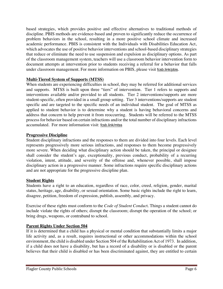based strategies, which provides positive and effective alternatives to traditional methods of discipline. PBIS methods are evidence-based and proven to significantly reduce the occurrence of problem behaviors in the school, resulting in a more positive school climate and increased academic performance. PBIS is consistent with the Individuals with Disabilities Education Act, which advocates the use of positive behavior interventions and school-based disciplinary strategies that reduce or eliminate the need to use suspension and expulsion as disciplinary options. As part of the classroom management system, teachers will use a classroom behavior intervention form to document attempts at intervention prior to students receiving a referral for a behavior that falls under classroom management. For more information on PBIS, please visit fcsb.link/pbis.

# **Multi-Tiered System of Supports (MTSS)**

When students are experiencing difficulties in school, they may be referred for additional services and supports. MTSS is built upon three "tiers" of intervention. Tier 1 refers to supports and interventions available and/or provided to all students. Tier 2 interventions/supports are more student-specific, often provided in a small group setting. Tier 3 interventions/supports are student specific and are targeted to the specific needs of an individual student. The goal of MTSS as applied to student behavior is to determine why a student is having behavioral concerns and address that concern to help prevent it from reoccurring. Students will be referred to the MTSS process for behavior based on certain infractions and/or the total number of disciplinary infractions accumulated. For more information visit: fcsb.link/mtss

# **Progressive Discipline**

Student disciplinary infractions and the responses to them are divided into four levels. Each level represents progressively more serious infractions, and responses to them become progressively more severe. When deciding what disciplinary action should be taken, the principal or designee shall consider the student's age, exceptionality, previous conduct, probability of a recurring violation, intent, attitude, and severity of the offense and, whenever possible, shall impose disciplinary action in a progressive manner. Some infractions require specific disciplinary actions and are not appropriate for the progressive discipline plan.

# **Student Rights**

Students have a right to an education, regardless of race, color, creed, religion, gender, marital status, heritage, age, disability, or sexual orientation. Some basic rights include the right to learn, disagree, petition, freedom of expression, publish, assembly, and privacy.

Exercise of these rights must conform to the *Code of Student Conduc*t. Things a student cannot do include violate the rights of others; disrupt the classroom; disrupt the operation of the school; or bring drugs, weapons, or contraband to school.

# **Parent Rights Under Section 504**

If it is determined that a child has a physical or mental condition that substantially limits a major life activity and, as a result, requires instructional or other accommodations within the school environment, the child is disabled under Section 504 of the Rehabilitation Act of 1973. In addition, if a child does not have a disability, but has a record of a disability or is disabled or the parent believes that their child is disabled or has been discriminated against, they are entitled to certain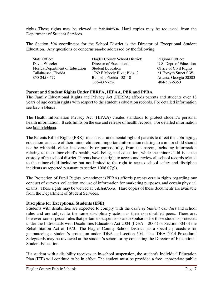rights. These rights may be viewed at fcsb.link/504. Hard copies may be requested from the Department of Student Services.

The Section 504 coordinator for the School District is the Director of Exceptional Student Education. Any questions or concerns ean-be addressed by the following:

| State Office:                   | <b>Flagler County School District:</b> | Regional Office:        |
|---------------------------------|----------------------------------------|-------------------------|
| David Wheeler                   | Director of Exceptional                | U.S. Dept. of Education |
| Florida Department of Education | <b>Student Education</b>               | Office of Civil Rights  |
| Tallahassee, Florida            | 1769 E Moody Blvd; Bldg. 2             | 61 Forsyth Street S.W.  |
| 850-245-0477                    | Bunnell, Florida 32110                 | Atlanta, Georgia 30303  |
|                                 | 386-437-7526                           | 404-562-6350            |

#### **Parent and Student Rights Under FERPA, HIPAA, PBR and PPRA**

The Family Educational Rights and Privacy Act (FERPA) affords parents and students over 18 years of age certain rights with respect to the student's education records. For detailed information see fcsb.link/ferpa.

The Health Information Privacy Act (HIPAA) creates standards to protect student's personal health information. It sets limits on the use and release of health records. For detailed information see fcsb.link/hipaa.

The Parents Bill of Rights (PBR) finds it is a fundamental right of parents to direct the upbringing, education, and care of their minor children. Important information relating to a minor child should not be withheld, either inadvertently or purposefully, from the parent, including information relating to the minor child's health, well-being, and education, while the minor child is in the custody of the school district. Parents have the right to access and review all school records related to the minor child including but not limited to the right to access school safety and discipline incidents as reported pursuant to section 1006.07(9).

The Protection of Pupil Rights Amendment (PPRA) affords parents certain rights regarding our conduct of surveys, collection and use of information for marketing purposes, and certain physical exams. These rights may be viewed at fcsb.link/ppra. Hard copies of these documents are available from the Department of Student Services.

#### **Discipline for Exceptional Students (ESE)**

Students with disabilities are expected to comply with the *Code of Student Conduct* and school rules and are subject to the same disciplinary action as their non-disabled peers. There are, however, some special rules that pertain to suspensions and expulsions for those students protected under the Individuals with Disabilities Education Act 2004 (IDEA – 2004) or Section 504 of the Rehabilitation Act of 1973. The Flagler County School District has a specific procedure for guaranteeing a student's protection under IDEA and section 504. The IDEA 2014 Procedural Safeguards may be reviewed at the student's school or by contacting the Director of Exceptional Student Education.

If a student with a disability receives an in-school suspension, the student's Individual Education Plan (IEP) will continue to be in effect. The student must be provided a free, appropriate public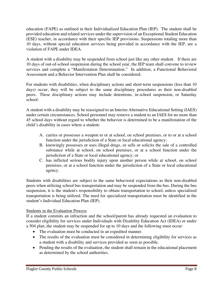education (FAPE) as outlined in their Individualized Education Plan (IEP). The student shall be provided education and related services under the supervision of an Exceptional Student Education (ESE) teacher, in accordance with their specific IEP provisions. Suspensions totaling more than 10 days, without special education services being provided in accordance with the IEP, are a violation of FAPE under IDEA.

A student with a disability may be suspended from school just like any other student. If there are 10 days of out-of-school suspension during the school year, the IEP team shall convene to review services and complete a "Manifestation Determination." In addition, a Functional Behavioral Assessment and a Behavior Intervention Plan shall be considered.

For students with disabilities, when disciplinary actions and short-term suspensions (less than 10 days) occur, they will be subject to the same disciplinary procedures as their non-disabled peers. These disciplinary actions may include detentions, in-school suspension, or Saturday school.

A student with a disability may be reassigned to an Interim Alternative Educational Setting (IAES) under certain circumstances. School personnel may remove a student to an IAES for no more than 45 school days without regard to whether the behavior is determined to be a manifestation of the child's disability in cases where a student:

- A. carries or possesses a weapon to or at school, on school premises, or to or at a school function under the jurisdiction of a State or local educational agency;
- B. knowingly possesses or uses illegal drugs, or sells or solicits the sale of a controlled substance while at school, on school premises, or at a school function under the jurisdiction of a State or local educational agency; or
- C. has inflicted serious bodily injury upon another person while at school, on school premises, or at a school function under the jurisdiction of a State or local educational agency.

Students with disabilities are subject to the same behavioral expectations as their non-disabled peers when utilizing school bus transportation and may be suspended from the bus. During the bus suspension, it is the student's responsibility to obtain transportation to school, unless specialized transportation is being utilized. The need for specialized transportation must be identified in the student's Individual Education Plan (IEP).

# Students in the Evaluation Process

If a student commits an infraction and the school/parent has already requested an evaluation to consider eligibility for services under Individuals with Disability Education Act (IDEA) or under a 504 plan, the student may be suspended for up to 10 days and the following must occur:

- The evaluation must be conducted in an expedited manner.
- The results of the evaluation must be considered in determining eligibility for services as a student with a disability and services provided as soon as possible.
- Pending the results of the evaluation, the student shall remain in the educational placement as determined by the school authorities.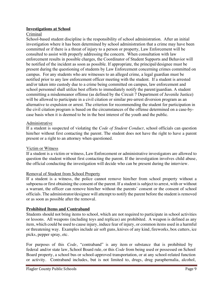#### **Investigations at School**

#### Criminal

School-based student discipline is the responsibility of school administration. After an initial investigation where it has been determined by school administration that a crime may have been committed or if there is a threat of injury to a person or property, Law Enforcement will be consulted to assist with properly addressing the concern. When consultation with law enforcement results in possible charges, the Coordinator of Student Supports and Behavior will be notified of the incident as soon as possible. If appropriate, the principal/designee must be present during the questioning of students by Law Enforcement concerning crimes committed on campus. For any students who are witnesses to an alleged crime, a legal guardian must be notified prior to any law enforcement officer meeting with the student. If a student is arrested and/or taken into custody due to a crime being committed on campus, law enforcement and school personnel shall utilize best efforts to immediately notify the parent/guardian. A student committing a misdemeanor offense (as defined by the Circuit 7 Department of Juvenile Justice) will be allowed to participate in a civil citation or similar pre-arrest diversion program as an alternative to expulsion or arrest. The criterion for recommending the student for participation in the civil citation program is based on the circumstances of the offense determined on a case-bycase basis when it is deemed to be in the best interest of the youth and the public.

#### Administrative

If a student is suspected of violating the *Code of Student Conduct*, school officials can question him/her without first contacting the parent. The student does not have the right to have a parent present or a right to an attorney when questioned.

#### Victim or Witness

If a student is a victim or witness, Law Enforcement or administrative investigators are allowed to question the student without first contacting the parent. If the investigation involves child abuse, the official conducting the investigation will decide who can be present during the interview.

#### Removal of Student from School Property

If a student is a witness, the police cannot remove him/her from school property without a subpoena or first obtaining the consent of the parent. If a student is subject to arrest, with or without a warrant, the officer can remove him/her without the parents' consent or the consent of school officials. The administrator/designee will attempt to notify the parent before the student is removed or as soon as possible after the removal.

#### **Prohibited Items and Contraband**

Students should not bring items to school, which are not required to participate in school activities or lessons. All weapons (including toys and replicas) are prohibited. A weapon is defined as any item, which could be used to cause injury, induce fear of injury, or common items used in a harmful or threatening way. Examples include air soft guns, knives of any kind, fireworks, box cutters, ice picks, pepper spray, etc.

For purposes of this *Code*, "contraband" is any item or substance that is prohibited by federal and/or state law, School Board rule, or this *Code* from being used or possessed on School Board property, a school bus or school-approved transportation, or at any school-related function or activity. Contraband includes, but is not limited to, drugs, drug paraphernalia, alcohol,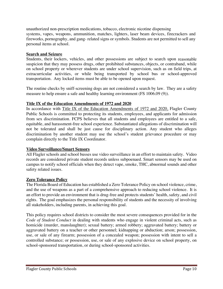unauthorized non-prescription medications, tobacco, electronic nicotine dispensing systems, vapes, weapons, ammunition, matches, lighters, laser beam devices, firecrackers and fireworks, pornography, and gang- related signs or symbols. Students are not permitted to sell any personal items at school.

#### **Search and Seizure**

Students, their lockers, vehicles, and other possessions are subject to search upon reasonable suspicion that they may possess drugs, other prohibited substances, objects, or contraband, while on school property or wherever students are under school supervision, such as on field trips, at extracurricular activities, or while being transported by school bus or school-approved transportation. Any locked items must be able to be opened upon request.

The routine checks by sniff-screening dogs are not considered a search by law. They are a safety measure to help ensure a safe and healthy learning environment (FS 1006.09 (9)).

#### **Title IX of the Education Amendments of 1972 and 2020**

In accordance with Title IX of the Education Amendments of 1972 and 2020, Flagler County Public Schools is committed to protecting its students, employees, and applicants for admission from sex discrimination. FCPS believes that all students and employees are entitled to a safe, equitable, and harassment-free school experience. Substantiated allegations of discrimination will not be tolerated and shall be just cause for disciplinary action. Any student who alleges discrimination by another student may use the school's student grievance procedure or may complain directly to the Title IX Coordinator.

#### **Video Surveillance/Smart Sensors**

All Flagler schools and school busses use video surveillance in an effort to maintain safety. Video records are considered private student records unless subpoenaed. Smart sensors may be used on campus to notify school officials when they detect vape, smoke, THC, abnormal sounds and other safety related issues.

#### **Zero Tolerance Policy**

The Florida Board of Education has established a Zero Tolerance Policy on school violence, crime, and the use of weapons as a part of a comprehensive approach to reducing school violence. It is an effort to provide an environment that is drug-free and protects students' health, safety, and civil rights. The goal emphasizes the personal responsibility of students and the necessity of involving all stakeholders, including parents, in achieving this goal.

This policy requires school districts to consider the most severe consequences provided for in the *Code of Student Conduct* in dealing with students who engage in violent criminal acts, such as homicide (murder, manslaughter); sexual battery; armed robbery; aggravated battery; battery or aggravated battery on a teacher or other personnel; kidnapping or abduction; arson; possession, use, or sale of any firearm; possession of a concealed weapon; possession with intent to sell a controlled substance; or possession, use, or sale of any explosive device on school property, on school-sponsored transportation, or during school-sponsored activities.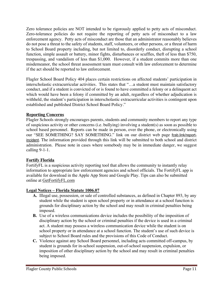Zero tolerance policies are NOT intended to be rigorously applied to petty acts of misconduct. Zero-tolerance policies do not require the reporting of petty acts of misconduct to a law enforcement agency. Petty acts of misconduct are those that an administrator reasonably believes do not pose a threat to the safety of students, staff, volunteers, or other persons, or a threat of harm to School Board property including, but not limited to, disorderly conduct, disrupting a school function, simple assault or battery, minor fights, disturbances or scuffles, theft of less than \$750, trespassing, and vandalism of less than \$1,000. However, if a student commits more than one misdemeanor, the school threat assessment team must consult with law enforcement to determine if the act should be reported to law enforcement.

Flagler School Board Policy 404 places certain restrictions on affected students' participation in interscholastic extracurricular activities. This states that "…a student must maintain satisfactory conduct, and if a student is convicted of or is found to have committed a felony or a delinquent act which would have been a felony if committed by an adult, regardless of whether adjudication is withheld, the student's participation in interscholastic extracurricular activities is contingent upon established and published District School Board Policy."

# **Reporting Concerns**

Flagler Schools strongly encourages parents, students and community members to report any type of suspicious activity or other concerns (i.e. bullying) involving a student(s) as soon as possible to school based personnel. Reports can be made in person, over the phone, or electronically using our "SEE SOMETHING? SAY SOMETHING." link on our district web page fcsb.link/reportincident. The information provided through this link will be submitted to both school and district administration. Please note in cases where somebody may be in immediate danger, we suggest calling 9-1-1.

# **Fortify Florida**

FortifyFL is a suspicious activity reporting tool that allows the community to instantly relay information to appropriate law enforcement agencies and school officials. The FortifyFL app is available for download in the Apple App Store and Google Play. Tips can also be submitted online at GetFortifyFL.com

# **Legal Notices – Florida Statute 1006.07**

- **A.** Illegal use, possession, or sale of controlled substances, as defined in Chapter 893, by any student while the student is upon school property or in attendance at a school function is grounds for disciplinary action by the school and may result in criminal penalties being imposed.
- **B.** Use of a wireless communications device includes the possibility of the imposition of disciplinary action by the school or criminal penalties if the device is used in a criminal act. A student may possess a wireless communication device while the student is on school property or in attendance at a school function. The student's use of such device is subject to School Board rules and the provisions of this Code of Conduct.
- **C.** Violence against any School Board personnel, including acts committed off-campus, by student is grounds for in-school suspension, out-of-school suspension, expulsion, or imposition of other disciplinary action by the school and may result in criminal penalties being imposed.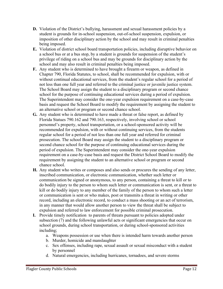- **D.** Violation of the District's bullying, harassment and sexual harassment policies by a student is grounds for in-school suspension, out-of-school suspension, expulsion, or imposition of other disciplinary action by the school and may result in criminal penalties being imposed.
- **E.** Violation of district school board transportation policies, including disruptive behavior on a school bus or at a bus stop, by a student is grounds for suspension of the student's privilege of riding on a school bus and may be grounds for disciplinary action by the school and may also result in criminal penalties being imposed.
- **F.** Any student who is determined to have brought a firearm or weapon, as defined in Chapter 790, Florida Statutes, to school, shall be recommended for expulsion, with or without continual educational services, from the student's regular school for a period of not less than one full year and referred to the criminal justice or juvenile justice system. The School Board may assign the student to a disciplinary program or second chance school for the purpose of continuing educational services during a period of expulsion. The Superintendent may consider the one-year expulsion requirement on a case-by-case basis and request the School Board to modify the requirement by assigning the student to an alternative school or program or second chance school.
- **G.** Any student who is determined to have made a threat or false report, as defined by Florida Statues 790.162 and 790.163, respectively, involving school or school personnel's property, school transportation, or a school-sponsored activity will be recommended for expulsion, with or without continuing services, from the students regular school for a period of not less than one full year and referred for criminal prosecution. The school Board may assign the student to a disciplinary program or second chance school for the purpose of continuing educational services during the period of expulsion. The Superintendent may consider the one-year expulsion requirement on a case-by-case basis and request the District School Board to modify the requirement by assigning the student to an alternative school or program or second chance school.
- **H.** Any student who writes or composes and also sends or procures the sending of any letter, inscribed communication, or electronic communication, whether such letter or communication be signed or anonymous, to any person, containing a threat to kill or to do bodily injury to the person to whom such letter or communication is sent, or a threat to kill or do bodily injury to any member of the family of the person to whom such a letter or communication is sent or who makes, post or transmits a threat in writing or other record, including an electronic record, to conduct a mass shooting or an act of terrorism, in any manner that would allow another person to view the threat shall be subject to expulsion and referred to law enforcement for possible criminal prosecution.
- **I.** Provide timely notification to parents of threats pursuant to policies adopted under subsection (7) and the following unlawful acts or significant emergencies that occur on school grounds, during school transportation, or during school-sponsored activities including;
	- a. Weapons possession or use when there is intended harm towards another person
	- b. Murder, homicide and manslaughter
	- c. Sex offenses, including rape, sexual assault or sexual misconduct with a student by personnel
	- d. Natural emergencies, including hurricanes, tornadoes, and severe storms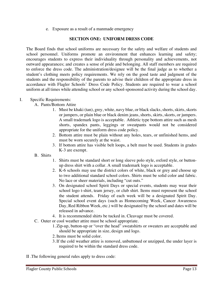e. Exposure as a result of a manmade emergency

#### **SECTION ONE: UNIFORM DRESS CODE**

The Board finds that school uniforms are necessary for the safety and welfare of students and school personnel. Uniforms promote an environment that enhances learning and safety; encourages students to express their individuality through personality and achievements, not outward appearances; and creates a sense of pride and belonging. All staff members are required to enforce the dress code. The administration/designee will be the final judge as to whether a student's clothing meets policy requirements. We rely on the good taste and judgment of the students and the responsibility of the parents to advise their children of the appropriate dress in accordance with Flagler Schools' Dress Code Policy. Students are required to wear a school uniform at all times while attending school or any school-sponsored activity during the school day.

#### I. Specific Requirements:

- A. Pants/Bottom Attire
	- 1. Must be khaki (tan), grey, white, navy blue, or black slacks, shorts, skirts, skorts or jumpers, or plain blue or black denim jeans, shorts, skirts, skorts, or jumpers. A small trademark logo is acceptable. Athletic type bottom attire such as mesh shorts, spandex pants, leggings or sweatpants would not be considered appropriate for the uniform dress code policy.
	- 2. Bottom attire must be plain without any holes, tears, or unfinished hems, and must be worn securely at the waist.
	- 3. If bottom attire has visible belt loops, a belt must be used. Students in grades K-3 are exempt.
- B. Shirts
	- 1. Shirts must be standard short or long sleeve polo style, oxford style, or buttonup dress shirt with a collar. A small trademark logo is acceptable.
	- 2. K-6 schools may use the district colors of white, black or grey and choose up to two additional standard school colors. Shirts must be solid color and fabric. No lace or sheer materials, including "cut outs."
	- 3. On designated school Spirit Days or special events, students may wear their school logo t-shirt, team jersey, or club shirt. Items must represent the school the student attends. Friday of each week will be a designated Spirit Day. Special school event days (such as Homecoming Week, Cancer Awareness Day, Red Ribbon Week, etc.) will be designated by the school and dates will be released in advance.
	- 4. It is recommended shirts be tucked in. Cleavage must be covered.
- C. Outer or cool weather attire must be school appropriate.
	- 1. Zip-up, button-up or "over the head" sweatshirts or sweaters are acceptable and should be appropriate in size, design and logo.
	- 2. Items must be solid color.
	- 3. If the cold weather attire is removed, unbuttoned or unzipped, the under layer is required to be within the standard dress code.
- II .The following general rules apply to dress code: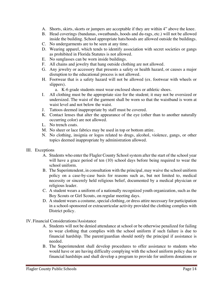- A. Shorts, skirts, skorts or jumpers are acceptable if they are within 4" above the knee.
- B. Head coverings (bandanas, sweatbands, hoods and du-rags, etc.) will not be allowed inside the building. School appropriate hats/hoods are allowed outside the buildings.
- C. No undergarments are to be seen at any time.
- D. Wearing apparel, which tends to identify association with secret societies or gangs as prohibited in Florida Statutes is not allowed.
- E. No sunglasses can be worn inside buildings.
- F. All chains and jewelry that hang outside clothing are not allowed.
- G. Any jewelry or accessory that presents a safety or health hazard, or causes a major disruption to the educational process is not allowed.
- H. Footwear that is a safety hazard will not be allowed (ex. footwear with wheels or slippers).

a. K-6 grade students must wear enclosed shoes or athletic shoes.

- I. All clothing must be the appropriate size for the student; it may not be oversized or undersized. The waist of the garment shall be worn so that the waistband is worn at waist level and not below the waist.
- J. Tattoos deemed inappropriate by staff must be covered.
- K. Contact lenses that alter the appearance of the eye (other than to another naturally occurring color) are not allowed.
- L. No trench coats.
- M. No sheer or lace fabrics may be used in top or bottom attire.
- N. No clothing, insignia or logos related to drugs, alcohol, violence, gangs, or other topics deemed inappropriate by administration allowed.
- III. Exceptions
	- A. Students who enter the Flagler County School system after the start of the school year will have a grace period of ten (10) school days before being required to wear the school uniform.
	- B. The Superintendent, in consultation with the principal, may waive the school uniform policy on a case-by-case basis for reasons such as, but not limited to, medical necessity or sincerely held religious belief, documented by a medical physician or religious leader.
	- C. A student wears a uniform of a nationally recognized youth organization, such as the Boy Scouts or Girl Scouts, on regular meeting days.
	- D. A student wears a costume, special clothing, or dress attire necessary for participation in a school-sponsored or extracurricular activity provided the clothing complies with District policy.
- IV. Financial Considerations/Assistance
	- A. Students will not be denied attendance at school or be otherwise penalized for failing to wear clothing that complies with the school uniform if such failure is due to financial hardship. The parent/guardian should notify the principal if assistance is needed.
	- B. The Superintendent shall develop procedures to offer assistance to students who would have or are having difficulty complying with the school uniform policy due to financial hardships and shall develop a program to provide for uniform donations or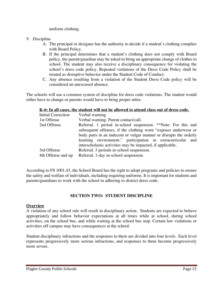uniform clothing.

- V. Discipline
	- A. The principal or designee has the authority to decide if a student's clothing complies with Board Policy.
	- B. If the principal determines that a student's clothing does not comply with Board policy, the parent/guardian may be asked to bring an appropriate change of clothes to school. The student may also receive a disciplinary consequence for violating the school's dress code policy. Repeated violations of the Dress Code Policy shall be treated as disruptive behavior under the Student Code of Conduct.
	- C. Any absence resulting from a violation of the Student Dress Code policy will be considered an unexcused absence.

The schools will use a common system of discipline for dress code violations. The student would either have to change or parents would have to bring proper attire.

#### **K-6: In all cases, the student will not be allowed to attend class out of dress code.**

| <b>Initial Correction</b> | Verbal warning                                                     |
|---------------------------|--------------------------------------------------------------------|
| 1st Offense               | Verbal warning. Parent contact/call.                               |
| 2nd Offense               | Referral. 1 period in-school suspension. **Note: For this and      |
|                           | subsequent offenses, if the clothing worn "exposes underwear or    |
|                           | body parts in an indecent or vulgar manner or disrupts the orderly |
|                           | learning environment," participation in extracurricular and        |
|                           | interscholastic activities may be impacted, if applicable.         |
| 3rd Offense               | Referral. 3 periods in-school suspension.                          |
| 4th Offense and up        | Referral. 1-day in-school suspension.                              |
|                           |                                                                    |

According to FS 1001.43, the School Board has the right to adopt programs and policies to ensure the safety and welfare of individuals, including requiring uniforms. It is important for students and parents/guardians to work with the school in adhering to district dress code.

#### **SECTION TWO: STUDENT DISCIPLINE**

#### **Overview**

A violation of any school rule will result in disciplinary action. Students are expected to behave appropriately and follow behavior expectations at all times while at school, during school activities, on the school bus, and while waiting at the school bus stop. Certain law violations or activities off campus may have consequences at the school.

Student disciplinary infractions and the responses to them are divided into four levels. Each level represents progressively more serious infractions, and responses to them become progressively more severe.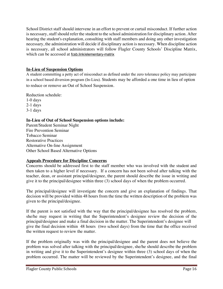School District staff should intervene in an effort to prevent or curtail misconduct. If further action is necessary, staff should refer the student to the school administration for disciplinary action. After hearing the student's explanation, consulting with staff members and doing any other investigation necessary, the administration will decide if disciplinary action is necessary. When discipline action is necessary, all school administrators will follow Flagler County Schools' Discipline Matrix, which can be accessed at fcsb.link/elementary-matrix

# **In-Lieu of Suspension Options**

A student committing a petty act of misconduct as defined under the zero tolerance policy may participate in a school based diversion program (In-Lieu). Students may be afforded a one time in lieu of option to reduce or remove an Out of School Suspension.

Reduction schedule:

1-0 days 2-1 days 3-1 days

# **In-Lieu of Out of School Suspension options include:**

Parent/Student Seminar Night Fire Prevention Seminar Tobacco Seminar Restorative Practices Alternative On-line Assignment Other School Based Alternative Options

# **Appeals Procedure for Discipline Concerns**

Concerns should be addressed first to the staff member who was involved with the student and then taken to a higher level if necessary. If a concern has not been solved after talking with the teacher, dean, or assistant principal/designee, the parent should describe the issue in writing and give it to the principal/designee within three (3) school days of when the problem occurred.

The principal/designee will investigate the concern and give an explanation of findings. That decision will be provided within 48 hours from the time the written description of the problem was given to the principal/designee.

If the parent is not satisfied with the way that the principal/designee has resolved the problem, she/he may request in writing that the Superintendent's designee review the decision of the principal/designee and make a final decision in the matter. The Superintendent's designee will give the final decision within 48 hours (two school days) from the time that the office received the written request to review the matter.

If the problem originally was with the principal/designee and the parent does not believe the problem was solved after talking with the principal/designee, she/he should describe the problem in writing and give it to the Superintendent's designee within three (3) school days of when the problem occurred. The matter will be reviewed by the Superintendent's designee, and the final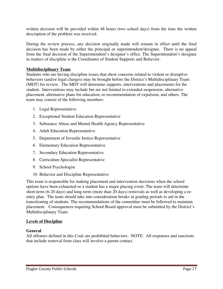written decision will be provided within 48 hours (two school days) from the time the written description of the problem was received.

During the review process, any decision originally made will remain in effect until the final decision has been made by either the principal or superintendent/designee. There is no appeal from the final decision of the Superintendent's designee's office. The Superintendent's designee in matters of discipline is the Coordinator of Student Supports and Behavior.

#### **Multidisciplinary Team**

Students who are having discipline issues that show concerns related to violent or disruptive behaviors (and/or legal charges) may be brought before the District's Multidisciplinary Team (MDT) for review. The MDT will determine supports, interventions and placements for the student. Interventions may include but are not limited to extended suspension, alternative placement, alternative plans for education, or recommendation of expulsion, and others. The team may consist of the following members:

- 1. Legal Representative
- 2. Exceptional Student Education Representative
- 3. Substance Abuse and Mental Health Agency Representative
- 4. Adult Education Representative
- 5. Department of Juvenile Justice Representative
- 6. Elementary Education Representative
- 7. Secondary Education Representative
- 8. Curriculum Specialist Representative
- 9. School Psychologist
- 10. Behavior and Discipline Representative

This team is responsible for making placement and intervention decisions when the school options have been exhausted or a student has a major placing event. The team will determine short-term (6-20 days) and long-term (more than 20 days) removals as well as developing a reentry plan. The team should take into consideration breaks in grading periods to aid in the transitioning of students. The recommendations of the committee must be followed to maintain placement. Consequences requiring School Board approval must be submitted by the District's Multidisciplinary Team.

#### **Levels of Discipline**

#### **General**

All offenses defined in this *Code* are prohibited behaviors. NOTE: All responses and sanctions that include removal from class will involve a parent contact.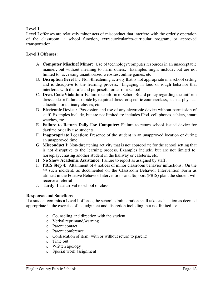# **Level I**

Level I offenses are relatively minor acts of misconduct that interfere with the orderly operation of the classroom, a school function, extracurricular/co-curricular program, or approved transportation.

# **Level I Offenses:**

- A. **Computer Mischief Minor:** Use of technology/computer resources in an unacceptable manner, but without meaning to harm others. Examples might include, but are not limited to: accessing unauthorized websites, online games, etc.
- B. **Disruption (level 1):** Non-threatening activity that is not appropriate in a school setting and is disruptive to the learning process. Engaging in loud or rough behavior that interferes with the safe and purposeful order of a school.
- C. **Dress Code Violation:** Failure to conform to School Board policy regarding the uniform dress code or failure to abide by required dress for specific courses/class, such as physical education or culinary classes, etc.
- D. **Electronic Device:** Possession and use of any electronic device without permission of staff. Examples include, but are not limited to: includes iPod, cell phones, tablets, smart watches, etc.
- E. **Failure to Return Daily Use Computer:** Failure to return school issued device for daytime or daily use students.
- F. **Inappropriate Location:** Presence of the student in an unapproved location or during an unapproved time.
- G. **Misconduct I:** Non-threatening activity that is not appropriate for the school setting that is not disruptive to the learning process. Examples include, but are not limited to: horseplay, chasing another student in the hallway or cafeteria, etc.
- H. **No Show Academic Assistance:** Failure to report as assigned by staff.
- I. **PBIS Step 4:** Attainment of 4 notices of minor classroom behavior infractions. On the 4th such incident, as documented on the Classroom Behavior Intervention Form as utilized in the Positive Behavior Interventions and Support (PBIS) plan, the student will receive a referral.
- J. **Tardy:** Late arrival to school or class.

#### **Responses and Sanctions**

If a student commits a Level I offense, the school administration shall take such action as deemed appropriate in the exercise of its judgment and discretion including, but not limited to:

- o Counseling and direction with the student
- o Verbal reprimand/warning
- o Parent contact
- o Parent conference
- o Confiscation of item (with or without return to parent)
- o Time out
- o Written apology
- o Special work assignment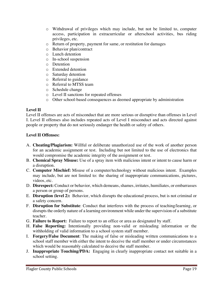- o Withdrawal of privileges which may include, but not be limited to, computer access, participation in extracurricular or afterschool activities, bus riding privileges, etc.
- o Return of property, payment for same, or restitution for damages
- o Behavior plan/contract
- o Lunch detention
- o In-school suspension
- o Detention
- o Extended detention
- o Saturday detention
- o Referral to guidance
- o Referral to MTSS team
- o Schedule change
- o Level II sanctions for repeated offenses
- o Other school-based consequences as deemed appropriate by administration

# **Level II**

Level II offenses are acts of misconduct that are more serious or disruptive than offenses in Level I. Level II offenses also includes repeated acts of Level I misconduct and acts directed against people or property that do not seriously endanger the health or safety of others.

# **Level II Offenses:**

- A. **Cheating/Plagiarism:** Willful or deliberate unauthorized use of the work of another person for an academic assignment or test. Including but not limited to the use of electronics that would compromise the academic integrity of the assignment or test.
- B. **Chemical Spray Misuse:** Use of a spray item with malicious intent or intent to cause harm or a disruption.
- C. **Computer Mischief:** Misuse of a computer/technology without malicious intent. Examples may include, but are not limited to: the sharing of inappropriate communications, pictures, videos, etc.
- D. **Disrespect:** Conduct or behavior, which demeans, shames, irritates, humiliates, or embarrasses a person or group of persons.
- E. **Disruption (level 2):** Behavior, which disrupts the educational process, but is not criminal or a safety concern.
- F. **Disruption for Substitute**: Conduct that interferes with the process of teaching/learning, or disrupts the orderly nature of a learning environment while under the supervision of a substitute teacher.
- G. **Failure to Report:** Failure to report to an office or area as designated by staff.
- H. **False Reporting:** Intentionally providing non-valid or misleading information or the withholding of valid information to a school system staff member.
- I. **Forgery/False Document**: The making of false or misleading written communications to a school staff member with either the intent to deceive the staff member or under circumstances which would be reasonably calculated to deceive the staff member.
- J. **Inappropriate Touching/PDA:** Engaging in clearly inappropriate contact not suitable in a school setting.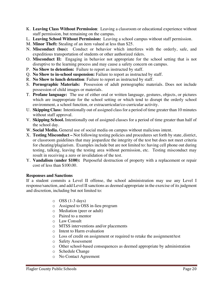- K. **Leaving Class Without Permission**: Leaving a classroom or educational experience without staff permission, but remaining on the campus.
- L. **Leaving School Without Permission:** Leaving a school campus without staff permission.
- M. **Minor Theft:** Stealing of an item valued at less than \$25.
- N. **Misconduct (bus):** Conduct or behavior which interferes with the orderly, safe, and expeditious transportation of students or other authorized riders.
- O. **Misconduct II:** Engaging in behavior not appropriate for the school setting that is not disruptive to the learning process and may cause a safety concern on campus.
- P. **No Show to detention:** Failure to report as instructed by staff.
- Q. **No Show to in-school suspension:** Failure to report as instructed by staff.
- R. **No Show to lunch detention**: Failure to report as instructed by staff.
- S. **Pornographic Materials:** Possession of adult pornographic materials. Does not include possession of child images or materials.
- T. **Profane language:** The use of either oral or written language, gestures, objects, or pictures which are inappropriate for the school setting or which tend to disrupt the orderly school environment, a school function, or extracurricular/co-curricular activity.
- U. **Skipping Class:** Intentionally out of assigned class for a period of time greater than 10 minutes without staff approval.
- V. **Skipping School.** Intentionally out of assigned classes for a period of time greater than half of the school day.
- W. **Social Media.** General use of social media on campus without malicious intent.
- X. **Testing Misconduct –** Not following testing policies and procedures set forth by state, district, or classroom guidelines that may jeopardize the integrity of the test but does not meet criteria for cheating/plagiarism. Examples include but are not limited to: having cell phone out during testing, talking, leaving the testing area without permission, etc. Testing misconduct may result in receiving a zero or invalidation of the test.
- Y. **Vandalism (under \$100):** Purposeful destruction of property with a replacement or repair cost of less than \$100.00.

#### **Responses and Sanctions**

If a student commits a Level II offense, the school administration may use any Level I response/sanction, and add Level II sanctions as deemed appropriate in the exercise of its judgment and discretion, including but not limited to:

- $\circ$  OSS (1-3 days)
- o Assigned to OSS in-lieu program
- o Mediation (peer or adult)
- o Paired to a mentor
- o Law Consult
- o MTSS interventions and/or placements
- o Intent to Harm evaluation
- o Loss of credit on assignment or required to retake the assignment/test
- o Safety Assessment
- o Other school-based consequences as deemed appropriate by administration
- o Schedule Change
- o No Contact Agreement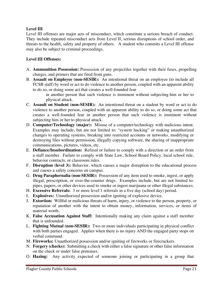# **Level III**

Level III offenses are major acts of misconduct, which constitute a serious breach of conduct. They include repeated misconduct acts from Level II, serious disruptions of school order, and threats to the health, safety and property of others. A student who commits a Level III offense may also be subject to criminal proceedings.

# **Level III Offenses:**

- A. **Ammunition Possession:** Possession of any projectiles together with their fuses, propelling charges, and primers that are fired from guns.
- B. **Assault on Employee (non-SESIR):** An intentional threat on an employee (to include all FCSB staff) by word or act to do violence to another person, coupled with an apparent ability to do so, or doing some act that creates a well-founded fear

in another person that such violence is imminent without subjecting him or her to physical attack.

- C. **Assault on Student (non-SESIR):** An intentional threat on a student by word or act to do violence to another person, coupled with an apparent ability to do so, or doing some act that creates a well-founded fear in another person that such violence is imminent without subjecting him or her to physical attack.
- D. **Computer/Technology (major):** Misuse of a computer/technology with malicious intent. Examples may include, but are not limited to: "system hacking" or making unauthorized changes to operating systems, breaking into restricted accounts or networks, modifying or destroying files without permission, illegally copying software, the sharing of inappropriate communications, pictures, videos, etc.
- E. **Defiance/Insubordination:** Refusal or failure to comply with a direction or an order from a staff member. Failure to comply with State Law, School Board Policy, local school rule, behavior contracts, or classroom rules.
- F. **Disruption (level 3):** Behavior, which causes a major disruption to the educational process and causes a safety concerns on campus.
- G. **Drug Paraphernalia (non-SESIR):** Possession of any item used to smoke, ingest, or apply illegal, prescription, or over-the-counter drugs. Examples include, but are not limited to: pipes, papers, or other devices used to smoke or ingest marijuana or other illegal substances.
- H. **Excessive Referrals:** 3 or more level 1 referrals in a five day (school day) period.
- I. **Explosives:** Unauthorized possession and/or igniting of explosive device.
- J. **Extortion:** Willful or malicious threats of harm, injury, or violence to the person, property, or reputation of another with the intent to obtain money, information, services, or items of material worth.
- K. **False Accusation Against Staff:** Intentionally making any claim against a staff member that is unfounded.
- L. **Fighting Mutual (non-SESIR):** Two or more individuals participating in physical conflict with both parties engaged. Applies when there is no injury AND the engaged party stops on verbal command.
- M. **Fireworks:** Unauthorized possession and/or igniting of fireworks or firecrackers.
- N. **Forgery (checks):** Submitting a check with either a false signature or other false information on the check or under false pretenses.
- O. **Hazing:** Any activity expected of someone joining or participating in a group that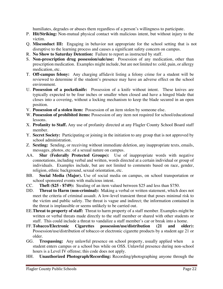humiliates, degrades or abuses them regardless of a person's willingness to participate.

- P. **Hit/Striking:** Non-mutual physical contact with malicious intent, but without injury to the victim.
- Q. **Misconduct III:** Engaging in behavior not appropriate for the school setting that is not disruptive to the learning process and causes a significant safety concern on campus.
- R. **No Show to Saturday Detention:** Failure to report as instructed by staff.
- S. **Non-prescription drug possession/sale/use:** Possession of any medication, other than prescription medication. Examples might include, but are not limited to: cold, pain, or allergy medication, etc.
- T. **Off-campus felony:** Any charging affidavit listing a felony crime for a student will be reviewed to determine if the student's presence may have an adverse effect on the school environment.
- U. **Possession of a pocketknife:** Possession of a knife without intent. These knives are typically expected to be four inches or smaller when closed and have a hinged blade that closes into a covering, without a locking mechanism to keep the blade secured in an open position.
- V. **Possession of a stolen item:** Possession of an item stolen by someone else.
- W. **Possession of prohibited items:** Possession of any item not required for school/educational lessons.
- X. **Profanity to Staff.** Any use of profanity directed at any Flagler County School Board staff member.
- Y. **Secret Society:** Participating or joining in the initiation to any group that is not approved by school administration.
- Z. **Sexting:** Sending, or receiving without immediate deletion, any inappropriate texts, emails, messages, photos, etc. of a sexual nature on campus.
- AA. **Slur (Federally Protected Groups):** Use of inappropriate words with negative connotations, including verbal and written, words directed at a certain individual or group of individuals. Examples include, but are not limited to comments based on race, gender, religion, ethnic background, sexual orientation, etc.
- BB. **Social Media (Major).** Use of social media on campus, on school transportation or school sponsored events with malicious intent.
- CC. **Theft (\$25 - \$749):** Stealing of an item valued between \$25 and less than \$750.
- DD. **Threat to Harm (non-criminal):** Making a verbal or written statement, which does not meet the criteria of criminal assault. A low-level transient threat that poses minimal risk to the victim and public safety. The threat is vague and indirect; the information contained in the threat is implausible or seems unlikely to be carried out.
- EE.**Threat to property of staff:** Threat to harm property of a staff member. Examples might be written or verbal threats made directly to the staff member or shared with other students or staff. This could include a threat to vandalize a staff member's car or break into a home.
- FF.**Tobacco/Electronic Cigarettes possession/use/distribution (21 and older):** Possession/use/distribution of tobacco or electronic cigarette products by a student age 21 or older.
- GG. **Trespassing:** Any unlawful presence on school property, usually applied when a student enters campus or a school bus while on OSS. Unlawful presence during non-school hours is a Level IV offense; this code does not apply.
- HH. **Unauthorized Photograph/Recording:** Recording/photographing anyone through the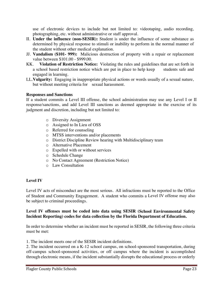use of electronic devices to include but not limited to: videotaping, audio recording, photographing, etc. without administrative or staff approval.

- II. **Under the influence (non-SESIR):** Student is under the influence of some substance as determined by physical response to stimuli or inability to perform in the normal manner of the student without other medical explanation.
- JJ. **Vandalism (\$101- 999):** Malicious destruction of property with a repair or replacement value between \$101.00 - \$999.00.
- KK. **Violation of Restriction Notice:** Violating the rules and guidelines that are set forth in a school based restriction notice which are put in place to help keep students safe and engaged in learning.
- LL.**Vulgarity:** Engaging in inappropriate physical actions or words usually of a sexual nature, but without meeting criteria for sexual harassment.

#### **Responses and Sanctions**

If a student commits a Level III offense, the school administration may use any Level I or II response/sanctions, and add Level III sanctions as deemed appropriate in the exercise of its judgment and discretion, including but not limited to:

- o Diversity Assignment
- o Assigned to In Lieu of OSS
- o Referred for counseling
- o MTSS interventions and/or placements
- o District Discipline Review hearing with Multidisciplinary team
- o Alternative Placement
- o Expelled with or without services
- o Schedule Change
- o No Contact Agreement (Restriction Notice)
- o Law Consultation

# **Level IV**

Level IV acts of misconduct are the most serious. All infractions must be reported to the Office of Student and Community Engagement. A student who commits a Level IV offense may also be subject to criminal proceedings.

#### **Level IV offenses must be coded into data using SESIR (School Environmental Safety Incident Reporting) codes for data collection by the Florida Department of Education.**

In order to determine whether an incident must be reported in SESIR, the following three criteria must be met:

1. The incident meets one of the SESIR incident definitions.

2. The incident occurred on a K-12 school campus, on school-sponsored transportation, during off-campus school-sponsored activities, or off campus where the incident is accomplished through electronic means, if the incident substantially disrupts the educational process or orderly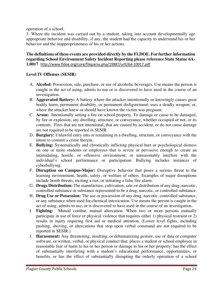operation of a school.

3. Where the incident was carried out by a student, taking into account developmentally age appropriate behavior and disability, if any, the student had the capacity to understand his or her behavior and the inappropriateness of his or her actions.

#### **The definitions of these events are provided directly by the FLDOE. For further information regarding School Environment Safety Incident Reporting please reference State Statue 6A-1.0017** http://www.fldoe.org/core/fileparse.php/19887/urlt/6A-10017.pdf

#### **Level IV Offenses (SESIR)**

- A. **Alcohol:** Possession, sale, purchase, or use of alcoholic beverages. Use means the person is caught in the act of using, admits to use or is discovered to have used in the course of an investigation.
- B. **Aggravated Battery:** A battery where the attacker intentionally or knowingly causes great bodily harm, permanent disability, or permanent disfigurement; uses a deadly weapon; or, where the attacker knew or should have known the victim was pregnant.
- C. **Arson:** Intentionally setting a fire on school property. To damage or cause to be damaged, by fire or explosion, any dwelling, structure, or conveyance, whether occupied or not, or its contents. Fires that are not intentional, that are caused by accident, or do not cause damage are not required to be reported in SESIR.
- D. **Burglary:** Unlawful entry into or remaining in a dwelling, structure, or conveyance with the intent to commit a crime therein.
- E. **Bullying:** Systematically and chronically inflicting physical hurt or psychological distress on one or more students or employees that is severe or pervasive enough to create an intimidating, hostile, or offensive environment; or unreasonably interfere with the individual's school performance or participation. Bullying includes instances of cyberbullying.
- F. **Disruption on Campus-Major:** Disruptive behavior that poses a serious threat to the learning environment, health, safety, or welfare of others. Examples of major disruptions include bomb threats, inciting a riot, or initiating a false fire alarm.
- G. **Drugs Distribution:** The manufacture, cultivation, sale, or distribution of any drug, narcotic, controlled substance or substance represented to be a drug, narcotic, or controlled substance.
- H. **Drug Use or Possession:** The use or possession of any drug, narcotic, controlled substance, or any substance when used for chemical intoxication. Use means the person is caught in the act of using, admits to use, or is discovered to have used in the course of an investigation.
- I. **Fighting:** Mutual combat, mutual altercation. When two or more persons mutually participate in use of force or physical violence that requires either 1) physical restraint or 2) results in injury requiring first aid or medical attention. (Lower level fights, including pushing, shoving, or altercations that stop upon verbal command are not required to be reported in SESIR.)
- J. **Harassment:** Any threatening, insulting, or dehumanizing gesture, use of data or computer software, or written, verbal, or physical conduct that; places a student or school employee in reasonable fear of harm to his or her person or damage to his or her property; has the effect of substantially interfering with a student's educational performance, opportunities, or benefits, or has the effect of substantially disrupting the orderly operation of a school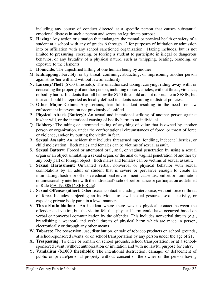including any course of conduct directed at a specific person that causes substantial emotional distress in such a person and serves no legitimate purpose.

- K. **Hazing:** Any action or situation that endangers the mental or physical health or safety of a student at a school with any of grades 6 through 12 for purposes of initiation or admission into or affiliation with any school sanctioned organization. Hazing includes, but is not limited to pressuring, coercing, or forcing a student to participate in illegal or dangerous behavior, or any brutality of a physical nature, such as whipping, beating, branding, or exposure to the elements.
- L. **Homicide:** The unjustified killing of one human being by another.
- M. **Kidnapping:** Forcibly, or by threat, confining, abducting, or imprisoning another person against his/her will and without lawful authority.
- N. **Larceny/Theft** (\$750 threshold)**:** The unauthorized taking, carrying, riding away with, or concealing the property of another person, including motor vehicles, without threat, violence, or bodily harm. Incidents that fall below the \$750 threshold are not reportable in SESIR, but instead should be reported as locally defined incidents according to district policies.
- O. **Other Major Crime:** Any serious, harmful incident resulting in the need for law enforcement intervention not previously classified.
- P. **Physical Attack (Battery):** An actual and intentional striking of another person against his/her will, or the intentional causing of bodily harm to an individual.
- Q. **Robbery:** The taking or attempted taking of anything of value that is owned by another person or organization, under the confrontational circumstances of force, or threat of force or violence, and/or by putting the victim in fear.
- R. **Sexual Assault:** An incident that includes threatened rape, fondling, indecent liberties, or child molestation. Both males and females can be victims of sexual assault.
- S. **Sexual Battery:** Forced or attempted oral, anal, or vaginal penetration by using a sexual organ or an object simulating a sexual organ, or the anal or vaginal penetration of another by any body part or foreign object. Both males and females can be victims of sexual assault.
- T. **Sexual Harassment:** Unwanted verbal, nonverbal or physical behavior with sexual connotations by an adult or student that is severe or pervasive enough to create an intimidating, hostile or offensive educational environment, cause discomfort or humiliation or unreasonably interfere with the individual's school performance or participation as defined in Rule (6A-19.008(1) SBE Rule)
- U. **Sexual Offenses (other):** Other sexual contact, including intercourse, without force or threat of force. Includes subjecting an individual to lewd sexual gestures, sexual activity, or exposing private body parts in a lewd manner.
- V. **Threat/Intimidation:** An incident where there was no physical contact between the offender and victim, but the victim felt that physical harm could have occurred based on verbal or nonverbal communication by the offender. This includes nonverbal threats (e.g., brandishing a weapon) and verbal threats of physical harm which are made in person, electronically or through any other means.
- W. **Tobacco:** The possession, use, distribution, or sale of tobacco products on school grounds, at school-sponsored events, or on school transportation by any person under the age of 21.
- X. **Trespassing:** To enter or remain on school grounds, school transportation, or at a schoolsponsored event, without authorization or invitation and with no lawful purpose for entry.
- Y. **Vandalism (\$1,000 threshold):** The intentional destruction, damage, or defacement of public or private/personal property without consent of the owner or the person having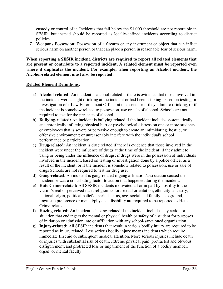custody or control of it. Incidents that fall below the \$1,000 threshold are not reportable in SESIR, but instead should be reported as locally-defined incidents according to district policies.

Z. **Weapons Possession:** Possession of a firearm or any instrument or object that can inflict serious harm on another person or that can place a person in reasonable fear of serious harm.

**When reporting a SESIR incident, districts are required to report all related elements that are present or contribute to a reported incident. A related element must be reported even where it duplicates the incident. For example, when reporting an Alcohol incident, the Alcohol-related element must also be reported.**

#### **Related Element Definitions:**

- a) **Alcohol-related:** An incident is alcohol related if there is evidence that those involved in the incident were caught drinking at the incident or had been drinking, based on testing or investigation of a Law Enforcement Officer at the scene, or if they admit to drinking, or if the incident is somehow related to possession, use or sale of alcohol. Schools are not required to test for the presence of alcohol.
- b) **Bullying-related:** An incident is bullying related if the incident includes systematically and chronically inflicting physical hurt or psychological distress on one or more students or employees that is severe or pervasive enough to create an intimidating, hostile, or offensive environment; or unreasonably interfere with the individual's school performance or participation.
- c) **Drug-related**: An incident is drug related if there is evidence that those involved in the incident were under the influence of drugs at the time of the incident; if they admit to using or being under the influence of drugs; if drugs were in the possession of individuals involved in the incident, based on testing or investigation done by a police officer as a result of the incident; or if the incident is somehow related to possession, use or sale of drugs Schools are not required to test for drug use.
- d) **Gang-related**: An incident is gang-related if gang affiliation/association caused the incident or was a contributing factor to action that happened during the incident.
- e) **Hate Crime-related:** All SESIR incidents motivated all or in part by hostility to the victim's real or perceived race, religion, color, sexual orientation, ethnicity, ancestry, national origin, political beliefs, marital status, age, social and family background, linguistic preference or mental/physical disability are required to be reported as Hate Crime-related.
- f) **Hazing-related:** An incident is hazing-related if the incident includes any action or situation that endangers the mental or physical health or safety of a student for purposes of initiation or admission into or affiliation with any school-sanctioned organization.
- g) **Injury-related:** All SESIR incidents that result in serious bodily injury are required to be reported as Injury related. Less serious bodily injury means incidents which require immediate first aid or subsequent medical attention. More serious injuries include death or injuries with substantial risk of death, extreme physical pain, protracted and obvious disfigurement, and protracted loss or impairment of the function of a bodily member, organ, or mental faculty.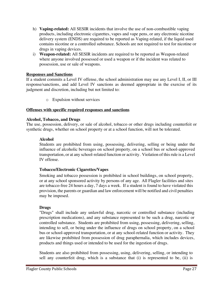- h) **Vaping-related:** All SESIR incidents that involve the use of non-combustible vaping products, including electronic cigarettes, vapes and vape pens, or any electronic nicotine delivery system (ENDS) are required to be reported as Vaping-related, if the liquid used contains nicotine or a controlled substance. Schools are not required to test for nicotine or drugs in vaping devices.
- i) **Weapon-related:** All SESIR incidents are required to be reported as Weapon-related where anyone involved possessed or used a weapon or if the incident was related to possession, use or sale of weapons.

#### **Responses and Sanctions**

If a student commits a Level IV offense, the school administration may use any Level I, II, or III response/sanctions, and add Level IV sanctions as deemed appropriate in the exercise of its judgment and discretion, including but not limited to:

o Expulsion without services

#### **Offenses with specific required responses and sanctions**

#### **Alcohol, Tobacco, and Drugs**

The use, possession, delivery, or sale of alcohol, tobacco or other drugs including counterfeit or synthetic drugs, whether on school property or at a school function, will not be tolerated.

#### **Alcohol**

Students are prohibited from using, possessing, delivering, selling or being under the influence of alcoholic beverages on school property, on a school bus or school-approved transportation, or at any school-related function or activity. Violation of this rule is a Level IV offense.

#### **Tobacco/Electronic Cigarettes/Vapes**

Smoking and tobacco possession is prohibited in school buildings, on school property, or at any school sponsored activity by persons of any age. All Flagler facilities and sites are tobacco-free 24 hours a day, 7 days a week. If a student is found to have violated this provision, the parents or guardian and law enforcement will be notified and civil penalties may be imposed.

#### **Drugs**

"Drugs" shall include any unlawful drug, narcotic or controlled substance (including prescription medications), and any substance represented to be such a drug, narcotic or controlled substance. Students are prohibited from using, possessing, delivering, selling, intending to sell, or being under the influence of drugs on school property, on a school bus or school-approved transportation, or at any school-related function or activity. They are likewise prohibited from possession of drug paraphernalia, which includes devices, products and things used or intended to be used for the ingestion of drugs.

Students are also prohibited from possessing, using, delivering, selling, or intending to sell any counterfeit drug, which is a substance that (i) is represented to be, (ii) is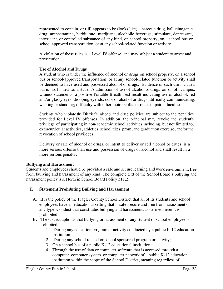represented to contain, or (iii) appears to be (looks like) a narcotic drug, hallucinogenic drug, amphetamine, barbiturate, marijuana, alcoholic beverage, stimulant, depressant, intoxicant, or controlled substance of any kind, on school property, on a school bus or school approved transportation, or at any school-related function or activity.

A violation of these rules is a Level IV offense, and may subject a student to arrest and prosecution.

#### **Use of Alcohol and Drugs**

A student who is under the influence of alcohol or drugs on school property, on a school bus or school-approved transportation, or at any school-related function or activity shall be deemed to have used and possessed alcohol or drugs. Evidence of such use includes, but is not limited to, a student's admission of use of alcohol or drugs on or off campus; witness statements; a positive Portable Breath Test result indicating use of alcohol; red and/or glassy eyes; drooping eyelids; odor of alcohol or drugs; difficulty communicating, walking or standing; difficulty with other motor skills; or other impaired faculties.

Students who violate the District's alcohol and drug policies are subject to the penalties provided for Level IV offenses. In addition, the principal may revoke the student's privilege of participating in non-academic school activities including, but not limited to, extracurricular activities, athletics, school trips, prom, and graduation exercise, and/or the revocation of school privileges.

Delivery or sale of alcohol or drugs, or intent to deliver or sell alcohol or drugs, is a more serious offense than use and possession of drugs or alcohol and shall result in a more serious penalty.

#### **Bullying and Harassment**

Students and employees should be provided a safe and secure learning and work environment, free from bullying and harassment of any kind. The complete text of the School Board's bullying and harassment policy is set forth in School Board Policy 511.2.

#### **I. Statement Prohibiting Bullying and Harassment**

- A. It is the policy of the Flagler County School District that all of its students and school employees have an educational setting that is safe, secure and free from harassment of any type. Conduct that constitutes bullying and harassment, as defined herein, is prohibited.
- B. The district upholds that bullying or harassment of any student or school employee is prohibited:
	- 1. During any education program or activity conducted by a public K-12 education institution;
	- 2. During any school related or school sponsored program or activity;
	- 3. On a school bus of a public K-12 educational institution;
	- 4. Through the use of data or computer software that is accessed through a computer, computer system, or computer network of a public K-12 education institution within the scope of the School District, meaning regardless of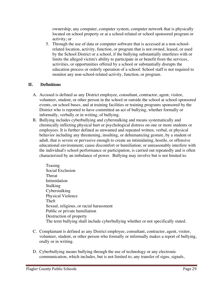ownership, any computer, computer system, computer network that is physically located on school property or at a school-related or school sponsored program or activity; or

5. Through the use of data or computer software that is accessed at a non-schoolrelated location, activity, function, or program that is not owned, leased, or used by the School District or a school, if the bullying substantially interferes with or limits the alleged victim's ability to participate in or benefit from the services, activities, or opportunities offered by a school or substantially disrupts the education process or orderly operation of a school. School staff is not required to monitor any non-school-related activity, function, or program.

# **II. Definitions**

- A. Accused is defined as any District employee, consultant, contractor, agent, visitor, volunteer, student, or other person in the school or outside the school at school-sponsored events, on school buses, and at training facilities or training programs sponsored by the District who is reported to have committed an act of bullying, whether formally or informally, verbally or in writing, of bullying.
- B. Bullying includes cyberbullying and cyberstalking and means systematically and chronically inflicting physical hurt or psychological distress on one or more students or employees. It is further defined as unwanted and repeated written, verbal, or physical behavior including any threatening, insulting, or dehumanizing gesture, by a student or adult, that is severe or pervasive enough to create an intimidating, hostile, or offensive educational environment; cause discomfort or humiliation; or unreasonably interfere with the individual's school performance or participation, is carried out repeatedly and is often characterized by an imbalance of power. Bullying may involve but is not limited to:
	- Teasing Social Exclusion **Threat** Intimidation Stalking Cyberstalking Physical Violence Theft Sexual, religious, or racial harassment Public or private humiliation Destruction of property The term bullying shall include cyberbullying whether or not specifically stated.
- C. Complainant is defined as any District employee, consultant, contractor, agent, visitor, volunteer, student, or other person who formally or informally makes a report of bullying, orally or in writing.
- D. Cyberbullying means bullying through the use of technology or any electronic communication, which includes, but is not limited to, any transfer of signs, signals,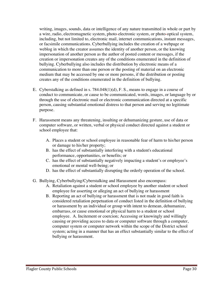writing, images, sounds, data or intelligence of any nature transmitted in whole or part by a wire, radio, electromagnetic system, photo-electronic system, or photo-optical system, including, but not limited to, electronic mail, internet communications, instant messages, or facsimile communications. Cyberbullying includes the creation of a webpage or weblog in which the creator assumes the identity of another person, or the knowing impersonation of another person as the author of posted content or messages, if the creation or impersonation creates any of the conditions enumerated in the definition of bullying. Cyberbullying also includes the distribution by electronic means of a communication to more than one person or the posting of material on an electronic medium that may be accessed by one or more persons, if the distribution or posting creates any of the conditions enumerated in the definition of bullying.

- E. Cyberstalking as defined in s. 784.048(1)(d), F. S., means to engage in a course of conduct to communicate, or cause to be communicated, words, images, or language by or through the use of electronic mail or electronic communication directed at a specific person, causing substantial emotional distress to that person and serving no legitimate purpose.
- F. Harassment means any threatening, insulting or dehumanizing gesture, use of data or computer software, or written, verbal or physical conduct directed against a student or school employee that:
	- A. Places a student or school employee in reasonable fear of harm to his/her person or damage to his/her property;
	- B. has the effect of substantially interfering with a student's educational performance, opportunities, or benefits; or
	- C. has the effect of substantially negatively impacting a student's or employee's emotional or mental well-being; or
	- D. has the effect of substantially disrupting the orderly operation of the school.
- G. Bullying, Cyberbullying/Cyberstalking and Harassment also encompass:
	- A. Retaliation against a student or school employee by another student or school employee for asserting or alleging an act of bullying or harassment
	- B. Reporting an act of bullying or harassment that is not made in good faith is considered retaliation perpetuation of conduct listed in the definition of bullying or harassment by an individual or group with intent to demean, dehumanize, embarrass, or cause emotional or physical harm to a student or school employee. A. Incitement or coercion; Accessing or knowingly and willingly causing or providing access to data or computer software through a computer, computer system or computer network within the scope of the District school system; acting in a manner that has an effect substantially similar to the effect of bullying or harassment.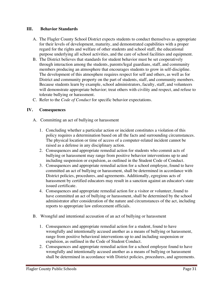#### **III. Behavior Standards**

- A. The Flagler County School District expects students to conduct themselves as appropriate for their levels of development, maturity, and demonstrated capabilities with a proper regard for the rights and welfare of other students and school staff, the educational purpose underlying all school activities, and the care of school facilities and equipment.
- B. The District believes that standards for student behavior must be set cooperatively through interaction among the students, parents/legal guardians, staff, and community members producing an atmosphere that encourages students to grow in self-discipline. The development of this atmosphere requires respect for self and others, as well as for District and community property on the part of students, staff, and community members. Because students learn by example, school administrators, faculty, staff, and volunteers will demonstrate appropriate behavior; treat others with civility and respect, and refuse to tolerate bullying or harassment.
- C. Refer to the *Code of Conduct* for specific behavior expectations.

# **IV. Consequences**

- A. Committing an act of bullying or harassment
	- 1. Concluding whether a particular action or incident constitutes a violation of this policy requires a determination based on all the facts and surrounding circumstances. The physical location or time of access of a computer-related incident cannot be raised as a defense in any disciplinary action.
	- 2. Consequences and appropriate remedial action for students who commit acts of bullying or harassment may range from positive behavior interventions up to and including suspension or expulsion, as outlined in the Student Code of Conduct.
	- 3. Consequences and appropriate remedial action for a school employee, found to have committed an act of bullying or harassment, shall be determined in accordance with District policies, procedures, and agreements. Additionally, egregious acts of harassment by certified educators may result in a sanction against an educator's state issued certificate.
	- 4. Consequences and appropriate remedial action for a visitor or volunteer, found to have committed an act of bullying or harassment, shall be determined by the school administrator after consideration of the nature and circumstances of the act, including reports to appropriate law enforcement officials.
- B. Wrongful and intentional accusation of an act of bullying or harassment
	- 1. Consequences and appropriate remedial action for a student, found to have wrongfully and intentionally accused another as a means of bullying or harassment, range from positive behavioral interventions up to and including suspension or expulsion, as outlined in the Code of Student Conduct.
	- 2. Consequences and appropriate remedial action for a school employee found to have wrongfully and intentionally accused another as a means of bullying or harassment shall be determined in accordance with District policies, procedures, and agreements.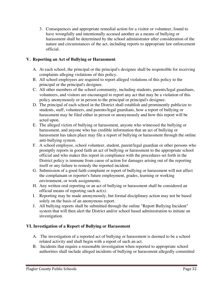3. Consequences and appropriate remedial action for a visitor or volunteer, found to have wrongfully and intentionally accused another as a means of bullying or harassment shall be determined by the school administrator after consideration of the nature and circumstances of the act, including reports to appropriate law enforcement official.

# **V. Reporting an Act of Bullying or Harassment**

- A. At each school, the principal or the principal's designee shall be responsible for receiving complaints alleging violations of this policy.
- B. All school employees are required to report alleged violations of this policy to the principal or the principal's designee.
- C. All other members of the school community, including students, parents/legal guardians, volunteers, and visitors are encouraged to report any act that may be a violation of this policy anonymously or in person to the principal or principal's designee.
- D. The principal of each school in the District shall establish and prominently publicize to students, staff, volunteers, and parents/legal guardians, how a report of bullying or harassment may be filed either in person or anonymously and how this report will be acted upon.
- E. The alleged victim of bullying or harassment, anyone who witnessed the bullying or harassment, and anyone who has credible information that an act of bullying or harassment has taken place may file a report of bullying or harassment through the online anti-bullying system.
- F. A school employee, school volunteer, student, parent/legal guardian or other persons who promptly reports in good faith an act of bullying or harassment to the appropriate school official and who makes this report in compliance with the procedures set forth in the District policy is immune from cause of action for damages arising out of the reporting itself or any failure to remedy the reported incident.
- G. Submission of a good faith complaint or report of bullying or harassment will not affect the complainant or reporter's future employment, grades, learning or working environment, or work assignments.
- H. Any written oral reporting or an act of bullying or harassment shall be considered an official means of reporting such act(s).
- I. Reporting may be made anonymously, but formal disciplinary action may not be based solely on the basis of an anonymous report.
- J. All bullying reports shall be submitted through the online "Report Bullying Incident" system that will then alert the District and/or school based administration to initiate an investigation.

# **VI. Investigation of a Report of Bullying or Harassment**

- A. The investigation of a reported act of bullying or harassment is deemed to be a school related activity and shall begin with a report of such an act.
- B. Incidents that require a reasonable investigation when reported to appropriate school authorities shall include alleged incidents of bullying or harassment allegedly committed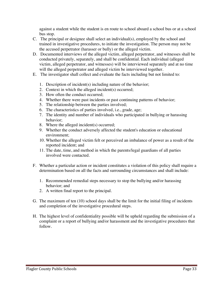against a student while the student is en route to school aboard a school bus or at a school bus stop.

- C. The principal or designee shall select an individual(s), employed by the school and trained in investigative procedures, to initiate the investigation. The person may not be the accused perpetrator (harasser or bully) or the alleged victim.
- D. Documented interviews of the alleged victim, alleged perpetrator, and witnesses shall be conducted privately, separately, and shall be confidential. Each individual (alleged victim, alleged perpetrator, and witnesses) will be interviewed separately and at no time will the alleged perpetrator and alleged victim be interviewed together.
- E. The investigator shall collect and evaluate the facts including but not limited to:
	- 1. Description of incident(s) including nature of the behavior;
	- 2. Context in which the alleged incident(s) occurred;
	- 3. How often the conduct occurred;
	- 4. Whether there were past incidents or past continuing patterns of behavior;
	- 5. The relationship between the parties involved;
	- 6. The characteristics of parties involved, i.e., grade, age;
	- 7. The identity and number of individuals who participated in bullying or harassing behavior;
	- 8. Where the alleged incident(s) occurred;
	- 9. Whether the conduct adversely affected the student's education or educational environment;
	- 10. Whether the alleged victim felt or perceived an imbalance of power as a result of the reported incident; and
	- 11. The date, time, and method in which the parents/legal guardians of all parties involved were contacted.
- F. Whether a particular action or incident constitutes a violation of this policy shall require a determination based on all the facts and surrounding circumstances and shall include:
	- 1. Recommended remedial steps necessary to stop the bullying and/or harassing behavior; and
	- 2. A written final report to the principal.
- G. The maximum of ten (10) school days shall be the limit for the initial filing of incidents and completion of the investigative procedural steps.
- H. The highest level of confidentiality possible will be upheld regarding the submission of a complaint or a report of bullying and/or harassment and the investigative procedures that follow.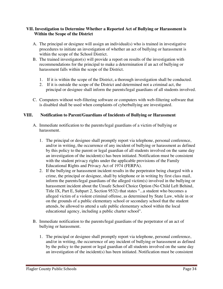#### **VII. Investigation to Determine Whether a Reported Act of Bullying or Harassment is Within the Scope of the District**

- A. The principal or designee will assign an individual(s) who is trained in investigative procedures to initiate an investigation of whether an act of bullying or harassment is within the scope of the School District.
- B. The trained investigator(s) will provide a report on results of the investigation with recommendations for the principal to make a determination if an act of bullying or harassment falls within the scope of the District.
	- 1. If it is within the scope of the District, a thorough investigation shall be conducted.
	- 2. If it is outside the scope of the District and determined not a criminal act, the principal or designee shall inform the parents/legal guardians of all students involved.
- C. Computers without web-filtering software or computers with web-filtering software that is disabled shall be used when complaints of cyberbullying are investigated.

# **VIII. Notification to Parent/Guardians of Incidents of Bullying or Harassment**

- A. Immediate notification to the parents/legal guardians of a victim of bullying or harassment.
	- 1. The principal or designee shall promptly report via telephone, personal conference, and/or in writing, the occurrence of any incident of bullying or harassment as defined by this policy to the parent or legal guardian of all students involved on the same day an investigation of the incident(s) has been initiated. Notification must be consistent with the student privacy rights under the applicable provisions of the Family Educational Rights and Privacy Act of 1974 (FERPA).
	- 2. If the bullying or harassment incident results in the perpetrator being charged with a crime, the principal or designee, shall by telephone or in writing by first class mail, inform the parents/legal guardians of the alleged victim(s) involved in the bullying or harassment incident about the Unsafe School Choice Option (No Child Left Behind, Title IX, Part E, Subpart 2, Section 9532) that states "...a student who becomes a alleged victim of a violent criminal offense, as determined by State Law, while in or on the grounds of a public elementary school or secondary school that the student attends, be allowed to attend a safe public elementary school within the local educational agency, including a public charter school".
- B. Immediate notification to the parents/legal guardians of the perpetrator of an act of bullying or harassment.
	- 1. The principal or designee shall promptly report via telephone, personal conference, and/or in writing, the occurrence of any incident of bullying or harassment as defined by the policy to the parent or legal guardian of all students involved on the same day an investigation of the incident(s) has been initiated. Notification must be consistent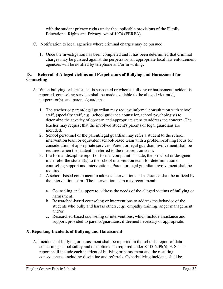with the student privacy rights under the applicable provisions of the Family Educational Rights and Privacy Act of 1974 (FERPA).

- C. Notification to local agencies where criminal charges may be pursued.
	- 1. Once the investigation has been completed and it has been determined that criminal charges may be pursued against the perpetrator, all appropriate local law enforcement agencies will be notified by telephone and/or in writing.

# **IX. Referral of Alleged victims and Perpetrators of Bullying and Harassment for Counseling**

- A. When bullying or harassment is suspected or when a bullying or harassment incident is reported, counseling services shall be made available to the alleged victim(s), perpetrator(s), and parents/guardians.
	- 1. The teacher or parent/legal guardian may request informal consultation with school staff, (specialty staff, e.g., school guidance counselor, school psychologist) to determine the severity of concern and appropriate steps to address the concern. The teacher may request that the involved student's parents or legal guardians are included.
	- 2. School personnel or the parent/legal guardian may refer a student to the school intervention team or equivalent school-based team with a problem-solving focus for consideration of appropriate services. Parent or legal guardian involvement shall be required when the student is referred to the intervention team.
	- 3. If a formal discipline report or formal complaint is made, the principal or designee must refer the student(s) to the school intervention team for determination of counseling support and interventions. Parent or legal guardian involvement shall be required.
	- 4. A school-based component to address intervention and assistance shall be utilized by the intervention team. The intervention team may recommend:
		- a. Counseling and support to address the needs of the alleged victims of bullying or harassment.
		- b. Researched-based counseling or interventions to address the behavior of the students who bully and harass others, e.g., empathy training, anger management; and/or
		- c. Researched-based counseling or interventions, which include assistance and support, provided to parents/guardians, if deemed necessary or appropriate.

#### **X. Reporting Incidents of Bullying and Harassment**

A. Incidents of bullying or harassment shall be reported in the school's report of data concerning school safety and discipline date required under S 1006.09(6), F. S. The report shall include each incident of bullying or harassment and the resulting consequences, including discipline and referrals. Cyberbullying incidents shall be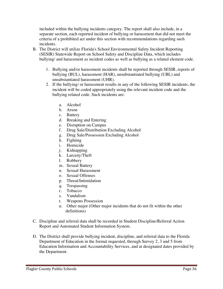included within the bullying incidents category. The report shall also include, in a separate section, each reported incident of bullying or harassment that did not meet the criteria of a prohibited act under this section with recommendations regarding such incidents.

- B. The District will utilize Florida's School Environmental Safety Incident Reporting (SESIR) Statewide Report on School Safety and Discipline Data, which includes bullying/ and harassment as incident codes as well as bullying as a related element code.
	- 1. Bullying and/or harassment incidents shall be reported through SESIR, reports of bullying (BUL), harassment (HAR), unsubstantiated bullying (UBL) and unsubstantiated harassment (UHR).
	- 2. If the bullying/ or harassment results in any of the following SESIR incidents, the incident will be coded appropriately using the relevant incident code and the bullying related code. Such incidents are:
		- a. Alcohol
		- b. Arson
		- c. Battery
		- d. Breaking and Entering
		- e. Disruption on Campus
		- f. Drug Sale/Distribution Excluding Alcohol
		- g. Drug Sale/Possession Excluding Alcohol
		- h. Fighting
		- i. Homicide
		- j. Kidnapping
		- k. Larceny/Theft
		- l. Robbery
		- m. Sexual Battery
		- n. Sexual Harassment
		- o. Sexual Offenses
		- p. Threat/Intimidation
		- q. Trespassing
		- r. Tobacco
		- s. Vandalism
		- t. Weapons Possession
		- u. Other major (Other major incidents that do not fit within the other definitions)
- C. Discipline and referral data shall be recorded in Student Discipline/Referral Action Report and Automated Student Information System.
- D. The District shall provide bullying incident, discipline, and referral data to the Florida Department of Education in the format requested, through Survey 2, 3 and 5 from Education Information and Accountability Services, and at designated dates provided by the Department.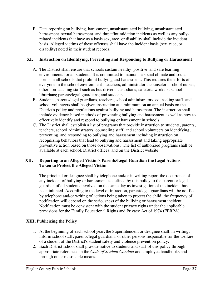E. Data reporting on bullying, harassment, unsubstantiated bullying, unsubstantiated harassment, sexual harassment, and threat/intimidation incidents as well as any bullyrelated incidents that have as a basis sex, race, or disability shall include the incident basis. Alleged victims of these offenses shall have the incident basis (sex, race, or disability) noted in their student records.

# **XI. Instruction on Identifying, Preventing and Responding to Bullying or Harassment**

- A. The District shall ensure that schools sustain healthy, positive, and safe learning environments for all students. It is committed to maintain a social climate and social norms in all schools that prohibit bullying and harassment. This requires the efforts of everyone in the school environment - teachers; administrators; counselors; school nurses; other non-teaching staff such as bus drivers; custodians; cafeteria workers; school librarians; parents/legal guardians; and students.
- B. Students, parents/legal guardians, teachers, school administrators, counseling staff, and school volunteers shall be given instruction at a minimum on an annual basis on the District's policy and regulations against bullying and harassment. The instruction shall include evidence-based methods of preventing bullying and harassment as well as how to effectively identify and respond to bullying or harassment in schools.
- C. The District shall establish a list of programs that provide instruction to students, parents, teachers, school administrators, counseling staff, and school volunteers on identifying, preventing, and responding to bullying and harassment including instruction on recognizing behaviors that lead to bullying and harassment and taking appropriate preventive action based on those observations. The list of authorized programs shall be available at each school, District offices, and on the District website.

# **XII. Reporting to an Alleged Victim's Parents/Legal Guardian the Legal Actions Taken to Protect the Alleged Victim**

The principal or designee shall by telephone and/or in writing report the occurrence of any incident of bullying or harassment as defined by this policy to the parent or legal guardian of all students involved on the same day as investigation of the incident has been initiated. According to the level of infraction, parent/legal guardians will be notified by telephone and/or writing of actions being taken to protect the child; the frequency of notification will depend on the seriousness of the bullying or harassment incident. Notification must be consistent with the student privacy rights under the applicable provisions for the Family Educational Rights and Privacy Act of 1974 (FERPA).

# **XIII. Publicizing the Policy**

- 1. At the beginning of each school year, the Superintendent or designee shall, in writing, inform school staff, parents/legal guardians, or other persons responsible for the welfare of a student of the District's student safety and violence prevention policy.
- 2. Each District school shall provide notice to students and staff of this policy through appropriate references in the *Code of Student Conduct* and employee handbooks and through other reasonable means.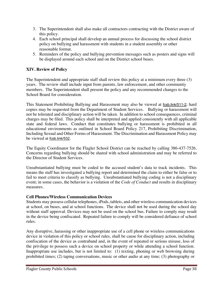- 3. The Superintendent shall also make all contractors contracting with the District aware of this policy.
- 4. Each school principal shall develop an annual process for discussing the school district policy on bullying and harassment with students in a student assembly or other reasonable format.
- 5. Reminders of the policy and bullying prevention messages such as posters and signs will be displayed around each school and on the District school buses.

# **XIV. Review of Policy**

The Superintendent and appropriate staff shall review this policy at a minimum every three (3) years. The review shall include input from parents, law enforcement, and other community members. The Superintendent shall present the policy and any recommended changes to the School Board for consideration.

This Statement Prohibiting Bullying and Harassment may also be viewed at fcsb.link/511-2; hard copies may be requested from the Department of Student Services. Bullying or harassment will not be tolerated and disciplinary action will be taken. In addition to school consequences, criminal charges may be filed. This policy shall be interpreted and applied consistently with all applicable state and federal laws. Conduct that constitutes bullying or harassment is prohibited in all educational environments as outlined in School Board Policy 217, Prohibiting Discrimination, Including Sexual and Other Forms of Harassment. The Discrimination and Harassment Policy may be viewed at fcsb.link/532.

The Equity Coordinator for the Flagler School District can be reached by calling 386-437-7526. Concerns regarding bullying should be shared with school administration and may be referred to the Director of Student Services.

Unsubstantiated bullying must be coded to the accused student's data to track incidents. This means the staff has investigated a bullying report and determined the claim to either be false or to fail to meet criteria to classify as bullying. Unsubstantiated bullying coding is not a disciplinary event; in some cases, the behavior is a violation of the *Code of Conduct* and results in disciplinary measures.

#### **Cell Phones/Wireless Communication Devices**

Students may possess cellular telephones, iPods, tablets, and other wireless communication devices at school, on buses, and at school functions. The device shall not be used during the school day without staff approval. Devices may not be used on the school bus. Failure to comply may result in the device being confiscated. Repeated failure to comply will be considered defiance of school rules.

Any disruptive, harassing or other inappropriate use of a cell phone or wireless communications device in violation of this policy or school rules, shall be cause for disciplinary action, including confiscation of the device as contraband and, in the event of repeated or serious misuse, loss of the privilege to possess such a device on school property or while attending a school function. Inappropriate use includes, but is not limited to: (1) texting, phoning or web browsing during prohibited times; (2) taping conversations, music or other audio at any time; (3) photography or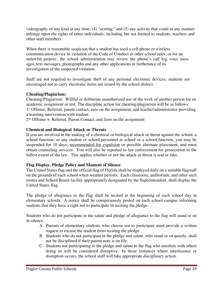videography of any kind at any time; (4) "sexting;" and (5) any activity that could in any manner infringe upon the rights of other individuals, including but not limited to students, teachers and other staff members.

When there is reasonable suspicion that a student has used a cell phone or wireless communication device in violation of the Code of Conduct or other school rules, or for an unlawful purpose, the school administration may review the phone's call log, voice mess ages, text messages, photographs and any other applications in furtherance of its investigation of the suspected violation.

Staff are not required to investigate theft of any personal electronic devices; students are encouraged not to carry electronic items not issued by the school district.

# **Cheating/Plagiarism:**

Cheating/Plagiarism: Willful or deliberate unauthorized use of the work of another person for an academic assignment or test. The discipline action for cheating/plagiarism will be as follows: 1<sup>st</sup> Offense: Referral, parent contact, zero on the assignment, and teacher/administrator providing a learning intervention with student.

2nd Offense +: Referral, Parent Contact, and Zero on the assignment

# **Chemical and Biological Attack or Threats**

If you are involved in the making of a chemical or biological attack or threat against the school, a school function, or any student or school personnel at school or a school function, you may be suspended for 10 days, recommended for expulsion or possible alternate placement, and must obtain counseling services. You will also be reported to law enforcement for prosecution to the fullest extent of the law. This applies whether or not the attack or threat is real or fake.

# **Flag Display, Pledge Policy and Moment of Silence**

The United States flag and the official flag of Florida shall be displayed daily on a suitable flagstaff on the grounds of each school when weather permits. Each classroom, auditorium, and other such rooms and School Board facility appropriately designated by the Superintendent, shall display the United States flag.

The pledge of allegiance to the flag shall be recited at the beginning of each school day in elementary schools. A notice shall be conspicuously posted on each school campus informing students that they have a right not to participate in reciting the pledge.

Students who do not participate in the salute and pledge of allegiance to the flag will stand or sit in silence.

- A. Parents of elementary students who choose not to participate must provide a written request to excuse the student from reciting the pledge.
- B. Students who do not participate in the pledge and salute, who stand or sit quietly, shall not be disciplined if their parent note is on file.
- C. Students not participating in the pledge and salute to the flag who interfere with others doing so will be considered disruptive. In those instances where interference or disruption occurs, the school staff will take appropriate disciplinary action.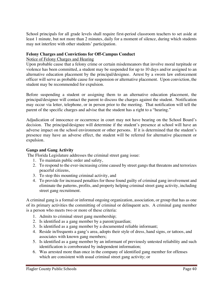School principals for all grade levels shall require first-period classroom teachers to set aside at least 1 minute, but not more than 2 minutes, daily for a moment of silence, during which students may not interfere with other students' participation.

#### **Felony Charges and Convictions for Off-Campus Conduct**

#### Notice of Felony Charges and Hearing

Upon probable cause that a felony crime or certain misdemeanors that involve moral turpitude or violence has been committed, a student may be suspended for up to 10 days and/or assigned to an alternative education placement by the principal/designee. Arrest by a sworn law enforcement officer will serve as probable cause for suspension or alternative placement. Upon conviction, the student may be recommended for expulsion.

Before suspending a student or assigning them to an alternative education placement, the principal/designee will contact the parent to discuss the charges against the student. Notification may occur via letter, telephone, or in person prior to the meeting. That notification will tell the parent of the specific charges and advise that the student has a right to a "hearing."

Adjudication of innocence or occurrence in court may not have bearing on the School Board's decision. The principal/designee will determine if the student's presence at school will have an adverse impact on the school environment or other persons. If it is determined that the student's presence may have an adverse effect, the student will be referred for alternative placement or expulsion.

#### **Gangs and Gang Activity**

The Florida Legislature addresses the criminal street gang issue:

- 1. To maintain public order and safety,
- 2. To respond to the ever-increasing crime caused by street gangs that threatens and terrorizes peaceful citizens,
- 3. To stop this mounting criminal activity, and
- 4. To provide for increased penalties for those found guilty of criminal gang involvement and eliminate the patterns, profits, and property helping criminal street gang activity, including street gang recruitment.

A criminal gang is a formal or informal ongoing organization, association, or group that has as one of its primary activities the committing of criminal or delinquent acts. A criminal gang member is a person who meets two or more of these criteria:

- 1. Admits to criminal street gang membership;
- 2. Is identified as a gang member by a parent/guardian;
- 3. Is identified as a gang member by a documented reliable informant;
- 4. Reside in/frequents a gang's area, adopts their style of dress, hand signs, or tattoos, and associates with known gang members;
- 5. Is identified as a gang member by an informant of previously untested reliability and such identification is corroborated by independent information;
- 6. Was arrested more than once in the company of identified gang member for offenses which are consistent with usual criminal street gang activity; or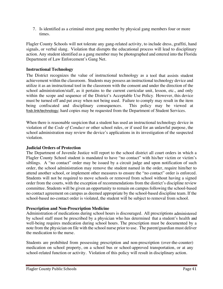7. Is identified as a criminal street gang member by physical gang members four or more times.

Flagler County Schools will not tolerate any gang-related activity, to include dress, graffiti, hand signals, or verbal slang. Violation that disrupts the educational process will lead to disciplinary action. Any student identified as a gang member may be photographed and entered into the Florida Department of Law Enforcement's Gang Net.

#### **Instructional Technology**

The District recognizes the value of instructional technology as a tool that assists student achievement within the classroom. Students may possess an instructional technology device and utilize it as an instructional tool in the classroom with the consent and under the direction of the school administration/staff, as it pertains to the current curricular unit, lesson, etc., and only within the scope and sequence of the District's Acceptable Use Policy. However, this device must be turned off and put away when not being used. Failure to comply may result in the item being confiscated and disciplinary consequences. This policy may be viewed at fcsb.link/technology; hard copies may be requested from the Department of Student Services.

When there is reasonable suspicion that a student has used an instructional technology device in violation of the *Code of Conduct* or other school rules, or if used for an unlawful purpose, the school administration may review the device's applications in its investigation of the suspected violation.

#### **Judicial Orders of Protection**

The Department of Juvenile Justice will report to the school district all court orders in which a Flagler County School student is mandated to have "no contact" with his/her victim or victim's siblings. A "no contact" order may be issued by a circuit judge and upon notification of such order, the school administration may remove the student named in the order, require him/her to attend another school, or implement other measures to ensure the "no contact" order is enforced. Students will not be required to move schools or removed from school without having a signed order from the courts, with the exception of recommendations from the district's discipline review committee. Students will be given an opportunity to remain on campus following the school-based no contact agreement on campus as deemed appropriate by the school-based discipline team. If the school-based no-contact order is violated, the student will be subject to removal from school.

#### **Prescription and Non-Prescription Medicine**

Administration of medications during school hours is discouraged. All prescriptions administered by school staff must be prescribed by a physician who has determined that a student's health and well-being requires medication during school hours. The prescription must be documented by a note from the physician on file with the school nurse prior to use. The parent/guardian must deliver the medication to the nurse.

Students are prohibited from possessing prescription and non-prescription (over-the-counter) medication on school property, on a school bus or school-approved transportation, or at any school-related function or activity. Violation of this policy will result in disciplinary action.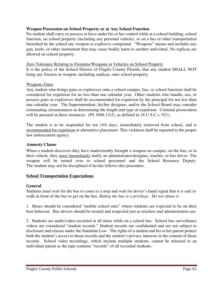#### **Weapon Possession on School Property or at Any School Function**

No student shall carry or possess or have under his or her control while at a school building, school function, on school property (including any personal vehicle), or on a bus or other transportation furnished by the school any weapon or explosive compound. "Weapons" means and includes any gun, knife, or other instrument that may cause bodily harm to another individual. No replicas are allowed on school property.

#### Zero Tolerance Relating to Firearms/Weapons in Vehicles on School Property

It is the policy of the School District of Flagler County Florida, that any student SHALL NOT bring any firearm or weapon, including replicas, onto school property.

#### Weapons-Guns

Any student who brings guns or explosives onto a school campus, bus, or school function shall be considered for expulsion for no less than one calendar year. Other students who handle, use, or possess guns or explosives shall be recommended for expulsion by the principal for not less than one calendar year. The Superintendent, his/her designee, and/or the School Board may consider extenuating circumstances in determining the length and type of expulsion. Criminal prosecution will be pursued in these instances. (FS 1006.13(2), as defined in 18 U.S.C.s. 921).

The student is to be suspended for ten (10) days, immediately removed from school, and is recommended for expulsion or alternative placement. This violation shall be reported to the proper law enforcement agency.

#### **Amnesty Clause**

When a student discovers they have inadvertently brought a weapon on campus, on the bus, or in their vehicle, they must immediately notify an administrator/designee, teacher, or bus driver. The weapon will be turned over to school personnel and the School Resource Deputy. The student may not be disciplined if he/she follows this procedure.

#### **School Transportation Expectations**

#### **General**

Students must wait for the bus to come to a stop and wait for driver's hand signal that it is safe to walk in front of the bus to get on the bus. *Riding the bus is a privilege. Do not abuse it.*

1. Buses should be considered "mobile school sites" where students are expected to be on their best behavior. Bus drivers should be treated and respected just as teachers and administrators are.

2. Students are audio/video recorded at all times while on a school bus. School bus surveillance videos are considered "student records." Student records are confidential and are not subject to disclosure and release under the Sunshine Law. The rights of a student and his or her parent protect both the student's access to those records and the student's privacy interests in the content of those records. School video recordings, which include multiple students, cannot be released to an individual parent as the tape contains "records" of all recorded students.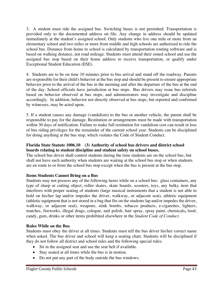3. A student must ride the assigned bus. Switching buses is not permitted. Transportation is provided only to the documented address on file. Any change in address should be updated immediately at the student's assigned school. Only students who live one mile or more from an elementary school and two miles or more from middle and high schools are authorized to ride the school bus. Distance from home to school is calculated by transportation routing software and is based on walking distance, not road mileage. Students must attend their zoned school and use the assigned bus stop based on their home address to receive transportation, or qualify under Exceptional Student Education (ESE).

4.Students are to be on time 10 minutes prior to bus arrival and stand off the roadway. Parents are responsible for their child's behavior at the bus stop and should be present to ensure appropriate behavior prior to the arrival of the bus in the morning and after the departure of the bus at the end of the day. School officials have jurisdiction at bus stops. Bus drivers may issue bus referrals based on behavior observed at bus stops, and administrators may investigate and discipline accordingly. In addition, behavior not directly observed at bus stops, but reported and confirmed by witnesses, may be acted upon.

5. If a student causes any damage (vandalism) to the bus or another vehicle, the parent shall be responsible to pay for the damage. Restitution or arrangements must be made with transportation within 30 days of notification. Failure to make full restitution for vandalism cost can result in loss of bus riding privileges for the remainder of the current school year. Students can be disciplined for doing anything at the bus stop, which violates the Code of Student Conduct.

#### **Florida State Statute 1006.10 (3) Authority of school bus drivers and district school boards relating to student discipline and student safety on school buses.**

The school bus driver shall control students during the time students are on the school bus, but shall not have such authority when students are waiting at the school bus stop or when students are en route to or from the school bus stop except when the bus is present at the bus stop.

# **Items Students Cannot Bring on a Bus**

Students may not possess any of the following items while on a school bus: glass containers, any type of sharp or cutting object, roller skates, skate boards, scooters, toys, any bulky item that interferes with proper seating of students (large musical instruments that a student is not able to hold on his/her lap and/or impedes the driver, walkway, or adjacent seat), athletic equipment (athletic equipment that is not stored in a bag that fits on the students lap and/or impedes the driver, walkway, or adjacent seat), weapons, stink bombs, tobacco products, e-cigarettes, lighters, matches, fireworks, illegal drugs, cologne, nail polish, hair spray, spray paint, chemicals**,** food, candy, gum, drinks or other items prohibited elsewhere in the *Student Code of Conduct.*

# **Rules While on the Bus**

Students must obey the driver at all times. Students must tell the bus driver his/her correct name when asked. The bus driver and school will keep a seating chart. Students will be disciplined if they do not follow all district and school rules and the following special rules:

- Sit in the assigned seat and use the seat belt if available.
- Stay seated at all times while the bus is in motion.
- Do not put any part of the body outside the bus windows.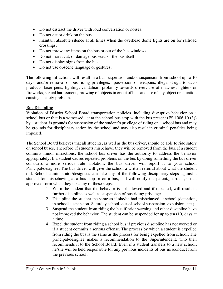- Do not distract the driver with loud conversation or noises.
- Do not eat or drink on the bus.
- maintain absolute silence at all times when the overhead dome lights are on for railroad crossings.
- Do not throw any items on the bus or out of the bus windows.
- Do not mark, cut, or damage bus seats or the bus itself.
- Do not display signs from the bus.
- Do not use obscene language or gestures.

The following infractions will result in a bus suspension and/or suspension from school up to 10 days, and/or removal of bus riding privileges: possession of weapons, illegal drugs, tobacco products, laser pens, fighting, vandalism, profanity towards driver, use of matches, lighters or fireworks, sexual harassment, throwing of objects in or out of bus, and use of any object or situation causing a safety problem.

# **Bus Discipline**

Violation of District School Board transportation policies, including disruptive behavior on a school bus or that is a witnessed act at the school bus stop with the bus present (FS 1006.10 (3)) by a student, is grounds for suspension of the student's privilege of riding on a school bus and may be grounds for disciplinary action by the school and may also result in criminal penalties being imposed.

The School Board believes that all students, as well as the bus driver, should be able to ride safely on school buses. Therefore, if students misbehave, they will be removed from the bus. If a student commits minor infractions, the school bus driver has the authority to address the behavior appropriately. If a student causes repeated problems on the bus by doing something the bus driver considers a more serious rule violation, the bus driver will report it to your school Principal/designee. The bus driver will give the school a written referral about what the student did. School administrator/designees can take any of the following disciplinary steps against a student for misbehaving at a bus stop or on a bus, and will notify the parent/guardian, on an approved form when they take any of these steps:

- 1. Warn the student that the behavior is not allowed and if repeated, will result in further discipline as well as suspension of bus riding privilege.
- 2. Discipline the student the same as if she/he had misbehaved at school (detention, in-school suspension, Saturday school, out-of-school suspension, expulsion, etc.).
- 3. Suspend the student from riding the bus if prior warning and other discipline have not improved the behavior. The student can be suspended for up to ten (10) days at a time.
- 4. Expel the student from riding a school bus if previous discipline has not worked or if a student commits a serious offense. The process by which a student is expelled from riding the bus is the same as the process for being expelled from school. The principal/designee makes a recommendation to the Superintendent, who then recommends it to the School Board. Even if a student transfers to a new school, he/she will be held responsible for any previous incidents of bus misconduct from the previous school.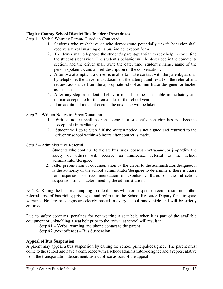#### **Flagler County School District Bus Incident Procedures**

Step 1 – Verbal Warning Parent/ Guardian Contacted

- 1. Students who misbehave or who demonstrate potentially unsafe behavior shall receive a verbal warning on a bus incident report form.
- 2. The driver shall telephone the student's parent/guardian to seek help in correcting the student's behavior. The student's behavior will be described in the comments section, and the driver shall write the date, time, student's name, name of the person spoken to, and a brief description of the conversation.
- 3. After two attempts, if a driver is unable to make contact with the parent/guardian by telephone, the driver must document the attempt and result on the referral and request assistance from the appropriate school administrator/designee for his/her assistance.
- 4. After any step, a student's behavior must become acceptable immediately and remain acceptable for the remainder of the school year.
- 5. If an additional incident occurs, the next step will be taken.

Step 2 – Written Notice to Parent/Guardian

- 1. Written notice shall be sent home if a student's behavior has not become acceptable immediately.
- 2. Student will go to Step 3 if the written notice is not signed and returned to the driver or school within 48 hours after contact is made.

#### Step 3 – Administrative Referral

- 1. Students who continue to violate bus rules, possess contraband, or jeopardize the safety of others will receive an immediate referral to the school administrator/designee.
- 2. After presentation of documentation by the driver to the administrator/designee, it is the authority of the school administrator/designee to determine if there is cause for suspension or recommendation of expulsion. Based on the infraction, suspension time is determined by the administration.

NOTE: Riding the bus or attempting to ride the bus while on suspension could result in another referral, loss of bus riding privileges, and referral to the School Resource Deputy for a trespass warrants. No Trespass signs are clearly posted in every school bus vehicle and will be strictly enforced.

Due to safety concerns, penalties for not wearing a seat belt, when it is part of the available equipment or unbuckling a seat belt prior to the arrival at school will result in:

Step #1 – Verbal warning and phone contact to the parent

Step #2 (next offense) – Bus Suspension

#### **Appeal of Bus Suspension**

A parent may appeal a bus suspension by calling the school principal/designee. The parent must come to the school and have a conference with a school administrator/designee and a representative from the transportation department/district office as part of the appeal.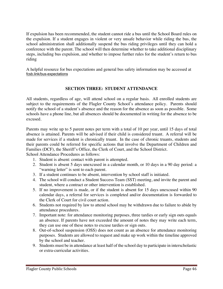If expulsion has been recommended, the student cannot ride a bus until the School Board rules on the expulsion. If a student engages in violent or very unsafe behavior while riding the bus, the school administration shall additionally suspend the bus riding privileges until they can hold a conference with the parent. The school will then determine whether to take additional disciplinary steps, including bus expulsion, and whether to impose further rules for the student's return to bus riding

A helpful resource for bus expectations and general bus safety information may be accessed at fcsb.link/bus-expectations

# **SECTION THREE: STUDENT ATTENDANCE**

All students, regardless of age, will attend school on a regular basis. All enrolled students are subject to the requirements of the Flagler County School's attendance policy. Parents should notify the school of a student's absence and the reason for the absence as soon as possible. Some schools have a phone line, but all absences should be documented in writing for the absence to be excused.

Parents may write up to 5 parent notes per term with a total of 10 per year, until 15 days of total absence is attained. Parents will be advised if their child is considered truant. A referral will be made for services if a student is chronically truant. In the case of chronic truants, students and their parents could be referred for specific actions that involve the Department of Children and Families (DCF), the Sheriff's Office, the Clerk of Court, and the School District.

School Attendance Procedures as follows:

- 1. Student is absent: contact with parent is attempted.
- 2. Student is absent 5 days unexcused in a calendar month, or 10 days in a 90 day period: a "warning letter" is sent to each parent.
- 3. If a student continues to be absent, intervention by school staff is initiated.
- 4. The school will conduct a Student Success Team (SST) meeting, and invite the parent and student, where a contract or other intervention is established.
- 5. If no improvement is made, or if the student is absent for 15 days unexcused within 90 calendar days, a referral for services is completed and/or documentation is forwarded to the Clerk of Court for civil court action.
- 6. Students not required by law to attend school may be withdrawn due to failure to abide by attendance procedures.
- 7. Important note: for attendance monitoring purposes, three tardies or early sign outs equals an absence. If parents have not exceeded the amount of notes they may write each term, they can use one of these notes to excuse tardies or sign outs.
- 8. Out-of-school suspension (OSS) does not count as an absence for attendance monitoring purposes. Students are allowed to request and make up work within the timeline approved by the school and teacher.
- 9. Students must be in attendance at least half of the school day to participate in interscholastic or extra-curricular activities.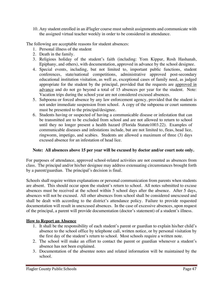10. Any student enrolled in an iFlagler course must submit assignments and communicate with the assigned virtual teacher weekly in order to be considered in attendance.

The following are acceptable reasons for student absences:

- 1. Personal illness of the student
- 2. Death in the family.
- 3. Religious holiday of the student's faith (including: Yom Kippur, Rosh Hashanah, Epiphany, and others), with documentation, approved in advance by the school designee.
- 4. Special events, including, but not limited to, important public functions, student conferences, state/national competitions, administrative approved post-secondary educational institution visitation, as well as, exceptional cases of family need, as judged appropriate for the student by the principal, provided that the requests are approved in advance and do not go beyond a total of 15 absences per year for the student. Note: Vacation trips during the school year are not considered excused absences.
- 5. Subpoena or forced absence by any law enforcement agency, provided that the student is not under immediate suspension from school. A copy of the subpoena or court summons must be presented to the principal/designee.
- 6. Students having or suspected of having a communicable disease or infestation that can be transmitted are to be excluded from school and are not allowed to return to school until they no longer present a health hazard (Florida Statute1003.22). Examples of communicable diseases and infestations include, but are not limited to, fleas, head lice, ringworm, impetigo, and scabies. Students are allowed a maximum of three (3) days excused absence for an infestation of head lice.

#### **Note: All absences above 15 per year will be excused by doctor and/or court note only.**

For purposes of attendance, approved school-related activities are not counted as absences from class. The principal and/or his/her designee may address extenuating circumstances brought forth by a parent/guardian. The principal's decision is final.

Schools shall require written explanations or personal communication from parents when students are absent. This should occur upon the student's return to school. All notes submitted to excuse absences must be received at the school within 5 school days after the absence. After 5 days, absences will not be excused. All other absences from school shall be considered unexcused and shall be dealt with according to the district's attendance policy. Failure to provide requested documentation will result in unexcused absences. In the case of excessive absences, upon request of the principal, a parent will provide documentation (doctor's statement) of a student's illness.

# **How to Report an Absence**

- 1. It shall be the responsibility of each student's parent or guardian to explain his/her child's absence to the school office by telephone call, written notice, or by personal visitation by the first day of the student's return to school. Most schools require a written note.
- 2. The school will make an effort to contact the parent or guardian whenever a student's absence has not been explained.
- 3. Documentation of the absentee notes and related information will be maintained by the school.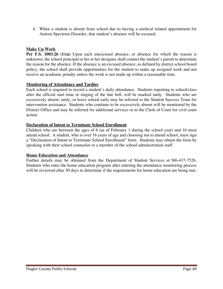4. When a student is absent from school due to having a medical related appointment for Autism Spectrum Disorder, that student's absence will be excused.

# **Make Up Work**

**Per F.S. 1003.26 (1)(a)** Upon each unexcused absence, or absence for which the reason is unknown, the school principal or his or her designee shall contact the student's parent to determine the reason for the absence. If the absence is an excused absence, as defined by district school board policy, the school shall provide opportunities for the student to make up assigned work and not receive an academic penalty unless the work is not made up within a reasonable time.

#### **Monitoring of Attendance and Tardies**

Each school is required to record a student's daily attendance. Students reporting to school/class after the official start time or ringing of the late bell, will be marked tardy. Students who are excessively absent, tardy, or leave school early may be referred to the Student Success Team for intervention assistance. Students who continue to be excessively absent will be monitored by the District Office and may be referred for additional services or to the Clerk of Court for civil court action.

#### **Declaration of Intent to Terminate School Enrollment**

Children who are between the ages of 6 (as of February 1 during the school year) and 16 must attend school. A student, who is over 16 years of age and choosing not to attend school, must sign a "Declaration of Intent to Terminate School Enrollment" form. Students may obtain the form by speaking with their school counselor or a member of the school administration staff.

#### **Home Education and Attendance**

Further details may be obtained from the Department of Student Services at 386-437-7526. Students who enter the home education program after entering the attendance monitoring process will be reviewed after 30 days to determine if the requirements for home education are being met.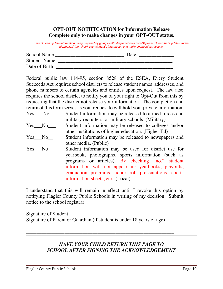# **OPT-OUT NOTIFICATION for Information Release Complete only to make changes in your OPT-OUT status.**

*(Parents can update information using Skyward by going to http:/flaglerschools.com/Skyward. Under the "Update Student Information" tab, check your student's information and make changes/corrections.)*

| School Name         | Date |  |
|---------------------|------|--|
| <b>Student Name</b> |      |  |
| Date of Birth       |      |  |

Federal public law 114-95, section 8528 of the ESEA, Every Student Succeeds Act requires school districts to release student names, addresses, and phone numbers to certain agencies and entities upon request. The law also requires the school district to notify you of your right to Opt-Out from this by requesting that the district not release your information. The completion and return of this form serves as your request to withhold your private information.

| Yes No          | Student information may be released to armed forces and<br>military recruiters, or military schools. (Military)                                                                                                                                                                                                      |
|-----------------|----------------------------------------------------------------------------------------------------------------------------------------------------------------------------------------------------------------------------------------------------------------------------------------------------------------------|
| $Yes$ No $\_\_$ | Student information may be released to colleges and/or<br>other institutions of higher education. (Higher Ed)                                                                                                                                                                                                        |
| $Yes \tNo$      | Student information may be released to newspapers and<br>other media. (Public)                                                                                                                                                                                                                                       |
| Yes No          | Student information may be used for district use for<br>yearbook, photographs, sports information (such as<br>programs or articles). By checking "no," student<br>information will not appear in: yearbooks, playbills,<br>graduation programs, honor roll presentations, sports<br>information sheets, etc. (Local) |

I understand that this will remain in effect until I revoke this option by notifying Flagler County Public Schools in writing of my decision. Submit notice to the school registrar.

Signature of Student \_ Signature of Parent or Guardian (if student is under 18 years of age)

\_\_\_\_\_\_\_\_\_\_\_\_\_\_\_\_\_\_\_\_\_\_\_\_\_\_\_\_\_\_\_\_\_\_\_\_\_\_\_\_\_\_\_\_\_\_\_\_\_\_\_\_\_\_\_\_\_\_

# *HAVE YOUR CHILD RETURN THIS PAGE TO SCHOOL AFTER SIGNING THE ACKNOWLEDGEMENT*